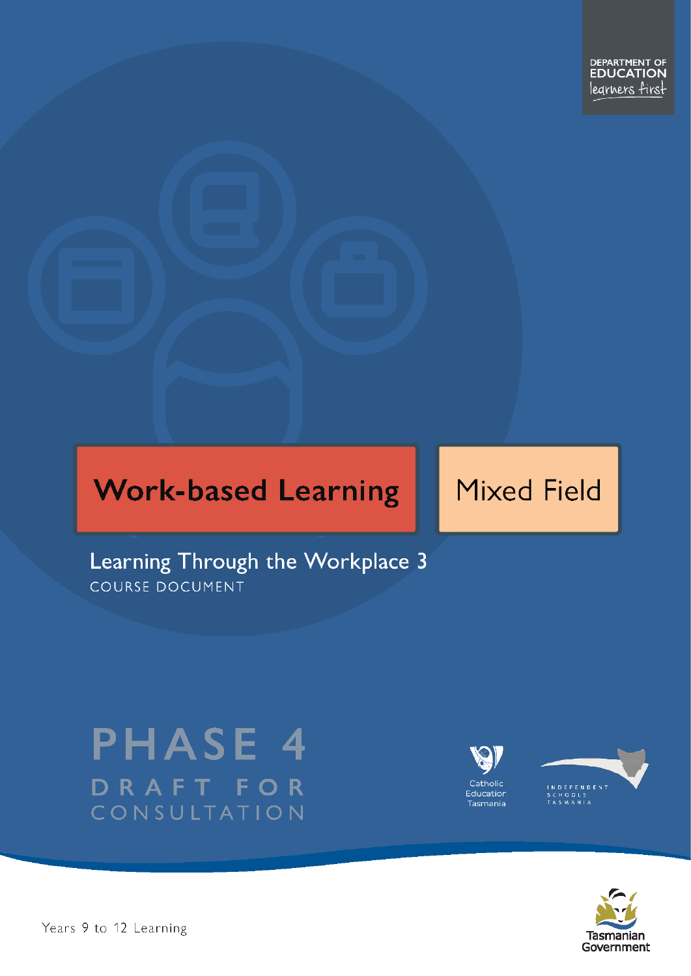# **Work-based Learning**

# **Mixed Field**

Learning Through the Workplace 3 COURSE DOCUMENT

# **PHASE 4** DRAFT FO -R CONSULTATION





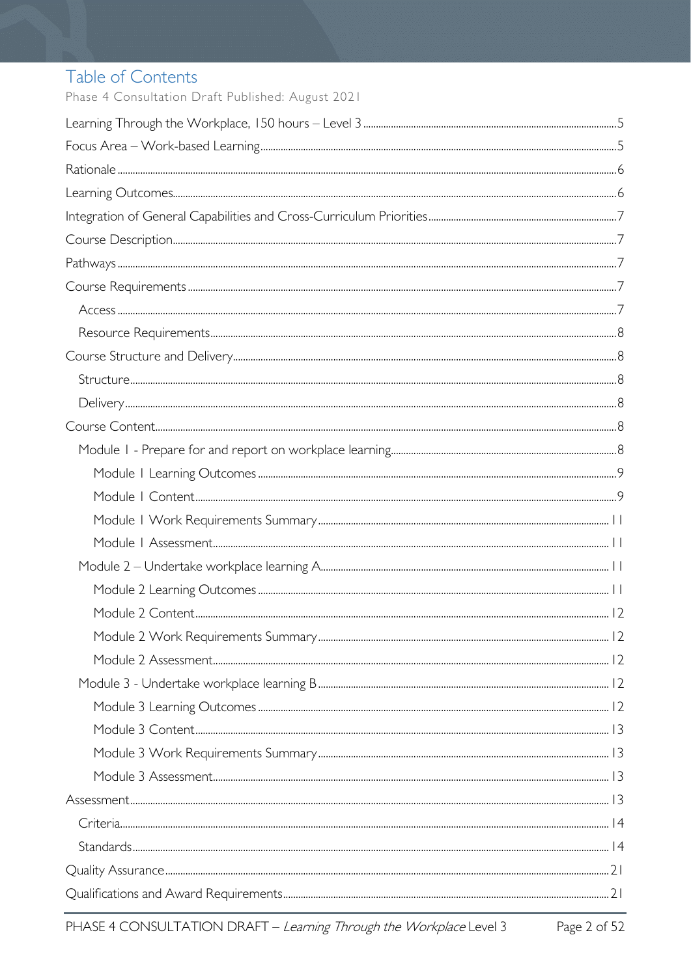# Table of Contents

Phase 4 Consultation Draft Published: August 2021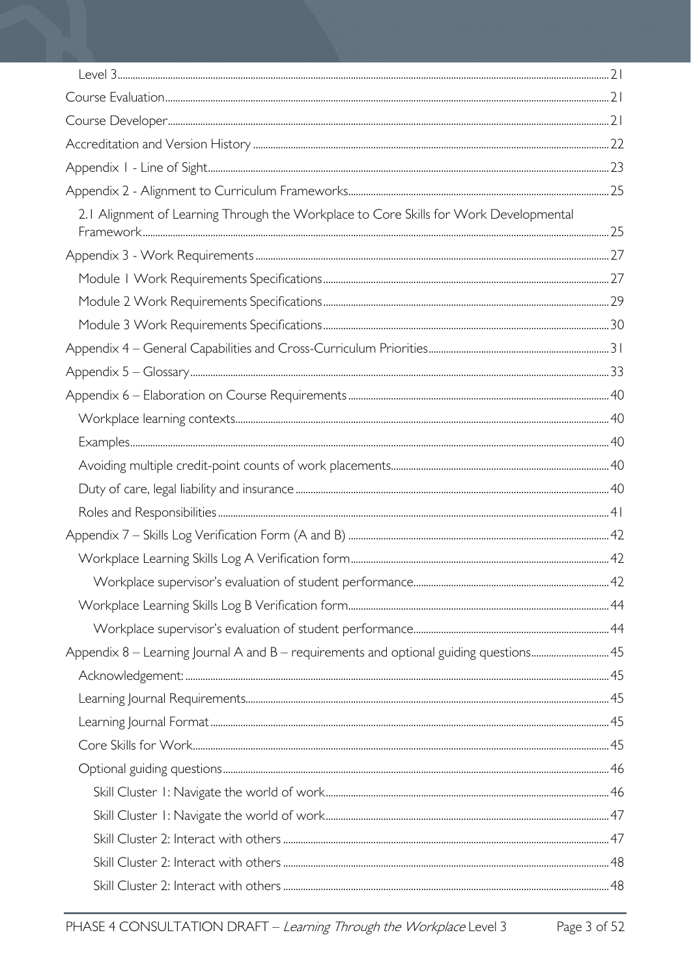| 2.1 Alignment of Learning Through the Workplace to Core Skills for Work Developmental |  |
|---------------------------------------------------------------------------------------|--|
|                                                                                       |  |
|                                                                                       |  |
|                                                                                       |  |
|                                                                                       |  |
|                                                                                       |  |
|                                                                                       |  |
|                                                                                       |  |
|                                                                                       |  |
|                                                                                       |  |
|                                                                                       |  |
|                                                                                       |  |
|                                                                                       |  |
|                                                                                       |  |
|                                                                                       |  |
|                                                                                       |  |
|                                                                                       |  |
|                                                                                       |  |
| Appendix 8 - Learning Journal A and B - requirements and optional guiding questions45 |  |
|                                                                                       |  |
|                                                                                       |  |
|                                                                                       |  |
|                                                                                       |  |
|                                                                                       |  |
|                                                                                       |  |
|                                                                                       |  |
|                                                                                       |  |
|                                                                                       |  |
|                                                                                       |  |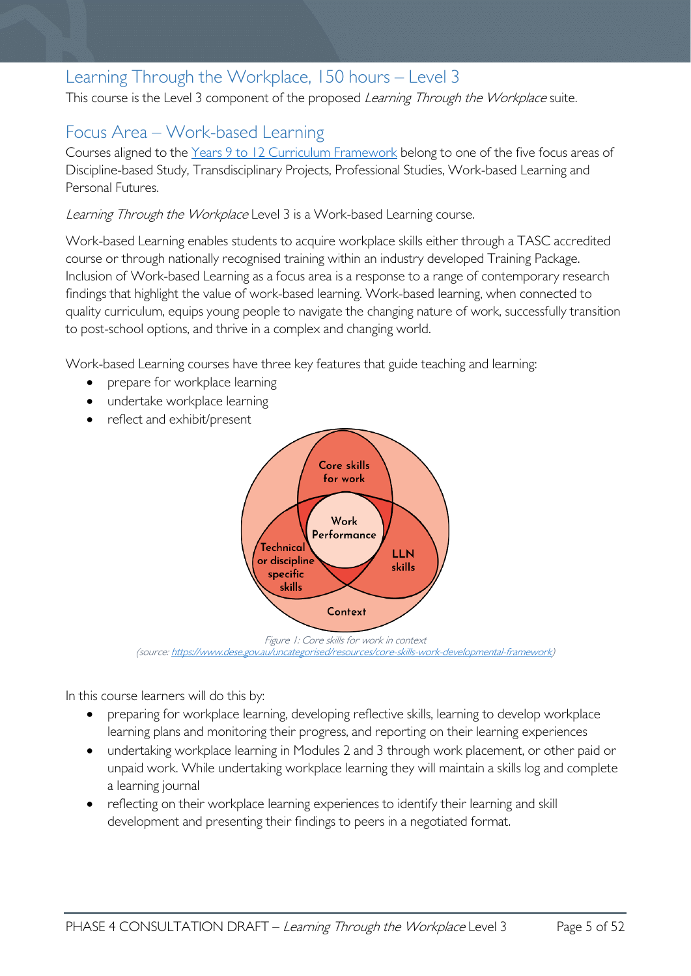# <span id="page-4-0"></span>Learning Through the Workplace, 150 hours – Level 3

This course is the Level 3 component of the proposed Learning Through the Workplace suite.

# <span id="page-4-1"></span>Focus Area – Work-based Learning

Courses aligned to the [Years 9 to 12 Curriculum Framework](https://publicdocumentcentre.education.tas.gov.au/library/Shared%20Documents/Education%209-12%20Frameworks%20A3%20WEB%20POSTER.pdf) belong to one of the five focus areas of Discipline-based Study, Transdisciplinary Projects, Professional Studies, Work-based Learning and Personal Futures.

Learning Through the Workplace Level 3 is a Work-based Learning course.

Work-based Learning enables students to acquire workplace skills either through a TASC accredited course or through nationally recognised training within an industry developed Training Package. Inclusion of Work-based Learning as a focus area is a response to a range of contemporary research findings that highlight the value of work-based learning. Work-based learning, when connected to quality curriculum, equips young people to navigate the changing nature of work, successfully transition to post-school options, and thrive in a complex and changing world.

Work-based Learning courses have three key features that guide teaching and learning:

- prepare for workplace learning
- undertake workplace learning
- reflect and exhibit/present



Figure 1: Core skills for work in context (source[: https://www.dese.gov.au/uncategorised/resources/core-skills-work-developmental-framework\)](https://www.dese.gov.au/uncategorised/resources/core-skills-work-developmental-framework)

In this course learners will do this by:

- preparing for workplace learning, developing reflective skills, learning to develop workplace learning plans and monitoring their progress, and reporting on their learning experiences
- undertaking workplace learning in Modules 2 and 3 through work placement, or other paid or unpaid work. While undertaking workplace learning they will maintain a skills log and complete a learning journal
- reflecting on their workplace learning experiences to identify their learning and skill development and presenting their findings to peers in a negotiated format.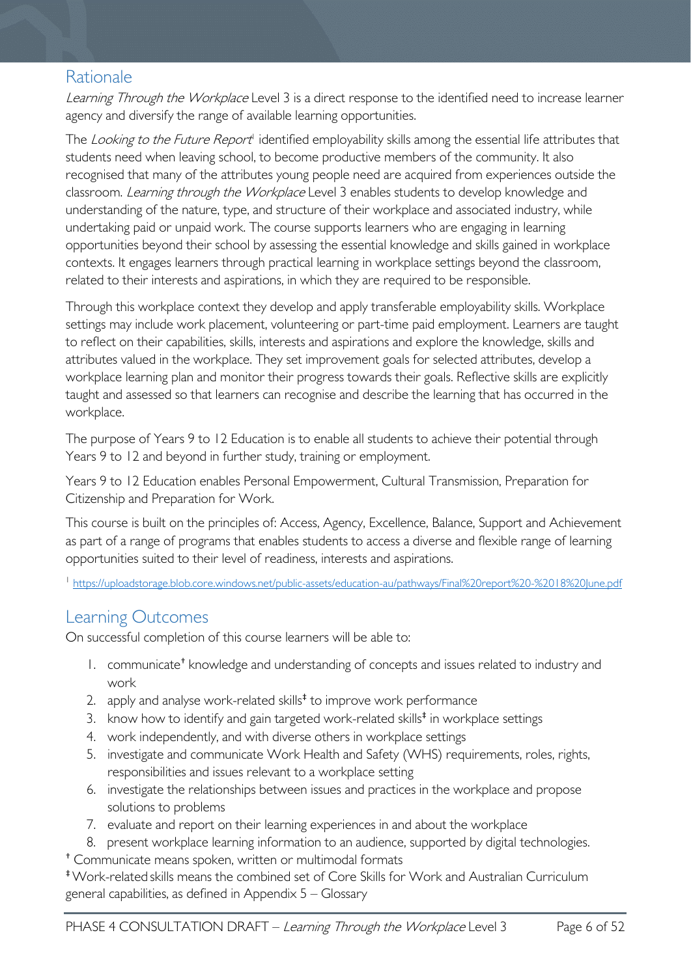# <span id="page-5-0"></span>Rationale

Learning Through the Workplace Level 3 is a direct response to the identified need to increase learner agency and diversify the range of available learning opportunities.

The Looking to the Future Report<sup>1</sup> identified employability skills among the essential life attributes that students need when leaving school, to become productive members of the community. It also recognised that many of the attributes young people need are acquired from experiences outside the classroom. Learning through the Workplace Level 3 enables students to develop knowledge and understanding of the nature, type, and structure of their workplace and associated industry, while undertaking paid or unpaid work. The course supports learners who are engaging in learning opportunities beyond their school by assessing the essential knowledge and skills gained in workplace contexts. It engages learners through practical learning in workplace settings beyond the classroom, related to their interests and aspirations, in which they are required to be responsible.

Through this workplace context they develop and apply transferable employability skills. Workplace settings may include work placement, volunteering or part-time paid employment. Learners are taught to reflect on their capabilities, skills, interests and aspirations and explore the knowledge, skills and attributes valued in the workplace. They set improvement goals for selected attributes, develop a workplace learning plan and monitor their progress towards their goals. Reflective skills are explicitly taught and assessed so that learners can recognise and describe the learning that has occurred in the workplace.

The purpose of Years 9 to 12 Education is to enable all students to achieve their potential through Years 9 to 12 and beyond in further study, training or employment.

Years 9 to 12 Education enables Personal Empowerment, Cultural Transmission, Preparation for Citizenship and Preparation for Work.

This course is built on the principles of: Access, Agency, Excellence, Balance, Support and Achievement as part of a range of programs that enables students to access a diverse and flexible range of learning opportunities suited to their level of readiness, interests and aspirations.

<sup>1</sup> <https://uploadstorage.blob.core.windows.net/public-assets/education-au/pathways/Final%20report%20-%2018%20June.pdf>

# <span id="page-5-1"></span>Learning Outcomes

On successful completion of this course learners will be able to:

- 1. communicate† knowledge and understanding of concepts and issues related to industry and work
- 2. apply and analyse work-related skills $<sup>‡</sup>$  to improve work performance</sup>
- 3. know how to identify and gain targeted work-related skills<sup>#</sup> in workplace settings
- 4. work independently, and with diverse others in workplace settings
- 5. investigate and communicate Work Health and Safety (WHS) requirements, roles, rights, responsibilities and issues relevant to a workplace setting
- 6. investigate the relationships between issues and practices in the workplace and propose solutions to problems
- 7. evaluate and report on their learning experiences in and about the workplace
- 8. present workplace learning information to an audience, supported by digital technologies.

† Communicate means spoken, written or multimodal formats

‡Work-related skills means the combined set of Core Skills for Work and Australian Curriculum general capabilities, as defined in Appendix 5 – Glossary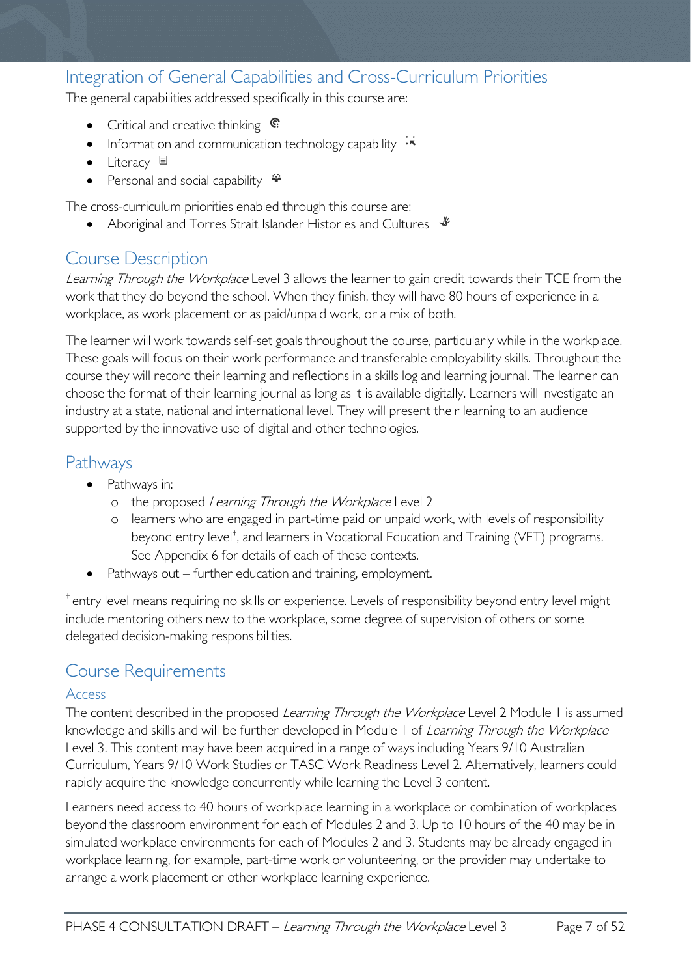# <span id="page-6-0"></span>Integration of General Capabilities and Cross-Curriculum Priorities

The general capabilities addressed specifically in this course are:

- Critical and creative thinking  $\mathbb{C}$
- Information and communication technology capability  $\cdot \star$
- Literacy  $\blacksquare$
- Personal and social capability

The cross-curriculum priorities enabled through this course are:

Aboriginal and Torres Strait Islander Histories and Cultures  $\mathcal *$ 

# <span id="page-6-1"></span>Course Description

Learning Through the Workplace Level 3 allows the learner to gain credit towards their TCE from the work that they do beyond the school. When they finish, they will have 80 hours of experience in a workplace, as work placement or as paid/unpaid work, or a mix of both.

The learner will work towards self-set goals throughout the course, particularly while in the workplace. These goals will focus on their work performance and transferable employability skills. Throughout the course they will record their learning and reflections in a skills log and learning journal. The learner can choose the format of their learning journal as long as it is available digitally. Learners will investigate an industry at a state, national and international level. They will present their learning to an audience supported by the innovative use of digital and other technologies.

# <span id="page-6-2"></span>Pathways

- Pathways in:
	- o the proposed Learning Through the Workplace Level 2
	- o learners who are engaged in part-time paid or unpaid work, with levels of responsibility beyond entry level†, and learners in Vocational Education and Training (VET) programs. See Appendix 6 for details of each of these contexts.
- Pathways out further education and training, employment.

† entry level means requiring no skills or experience. Levels of responsibility beyond entry level might include mentoring others new to the workplace, some degree of supervision of others or some delegated decision-making responsibilities.

# <span id="page-6-3"></span>Course Requirements

#### <span id="page-6-4"></span>Access

The content described in the proposed Learning Through the Workplace Level 2 Module 1 is assumed knowledge and skills and will be further developed in Module 1 of Learning Through the Workplace Level 3. This content may have been acquired in a range of ways including Years 9/10 Australian Curriculum, Years 9/10 Work Studies or TASC Work Readiness Level 2. Alternatively, learners could rapidly acquire the knowledge concurrently while learning the Level 3 content.

Learners need access to 40 hours of workplace learning in a workplace or combination of workplaces beyond the classroom environment for each of Modules 2 and 3. Up to 10 hours of the 40 may be in simulated workplace environments for each of Modules 2 and 3. Students may be already engaged in workplace learning, for example, part-time work or volunteering, or the provider may undertake to arrange a work placement or other workplace learning experience.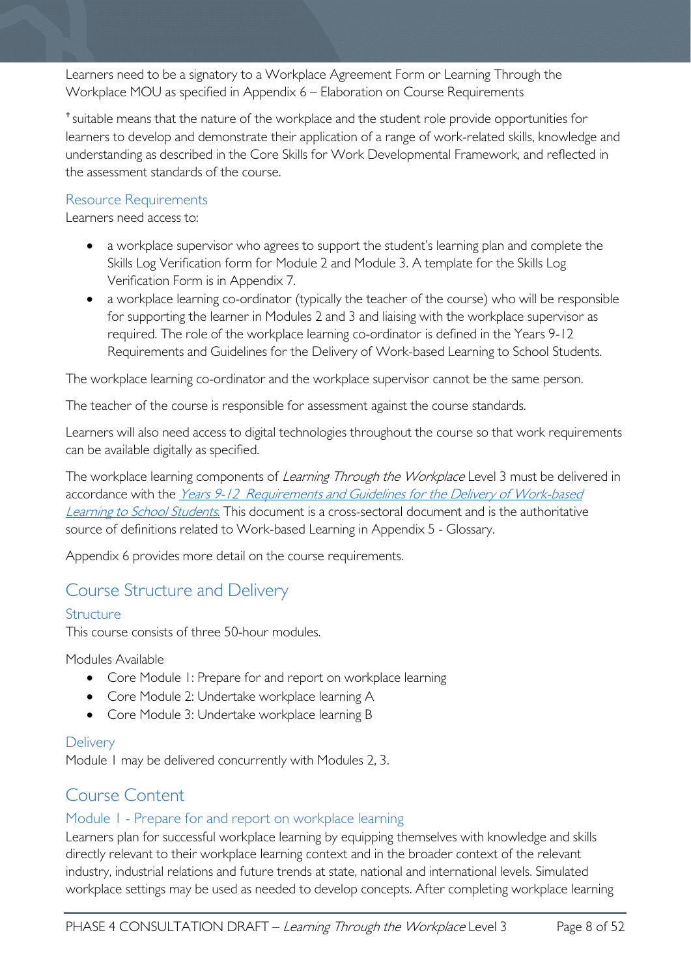Learners need to be a signatory to a Workplace Agreement Form or Learning Through the Workplace MOU as specified in Appendix 6 – Elaboration on Course Requirements

† suitable means that the nature of the workplace and the student role provide opportunities for learners to develop and demonstrate their application of a range of work-related skills, knowledge and understanding as described in the Core Skills for Work Developmental Framework, and reflected in the assessment standards of the course.

#### <span id="page-7-0"></span>Resource Requirements

Learners need access to:

- a workplace supervisor who agrees to support the student's learning plan and complete the Skills Log Verification form for Module 2 and Module 3. A template for the Skills Log Verification Form is in Appendix 7.
- a workplace learning co-ordinator (typically the teacher of the course) who will be responsible for supporting the learner in Modules 2 and 3 and liaising with the workplace supervisor as required. The role of the workplace learning co-ordinator is defined in the Years 9-12 Requirements and Guidelines for the Delivery of Work-based Learning to School Students.

The workplace learning co-ordinator and the workplace supervisor cannot be the same person.

The teacher of the course is responsible for assessment against the course standards.

Learners will also need access to digital technologies throughout the course so that work requirements can be available digitally as specified.

The workplace learning components of Learning Through the Workplace Level 3 must be delivered in accordance with the Years 9-12 Requirements and Guidelines for the Delivery of Work-based [Learning to School Students](https://publicdocumentcentre.education.tas.gov.au/library/Years%209%20%2012%20Curriculum%20Documents/Requirements-and-Guidelines-for-Work-based-Learning.pdf). This document is a cross-sectoral document and is the authoritative source of definitions related to Work-based Learning in Appendix 5 - Glossary.

Appendix 6 provides more detail on the course requirements.

# <span id="page-7-1"></span>Course Structure and Delivery

#### <span id="page-7-2"></span>Structure

This course consists of three 50-hour modules.

Modules Available

- Core Module 1: Prepare for and report on workplace learning
- Core Module 2: Undertake workplace learning A
- Core Module 3: Undertake workplace learning B

#### <span id="page-7-3"></span>**Delivery**

Module 1 may be delivered concurrently with Modules 2, 3.

# <span id="page-7-4"></span>Course Content

### <span id="page-7-5"></span>Module 1 - Prepare for and report on workplace learning

Learners plan for successful workplace learning by equipping themselves with knowledge and skills directly relevant to their workplace learning context and in the broader context of the relevant industry, industrial relations and future trends at state, national and international levels. Simulated workplace settings may be used as needed to develop concepts. After completing workplace learning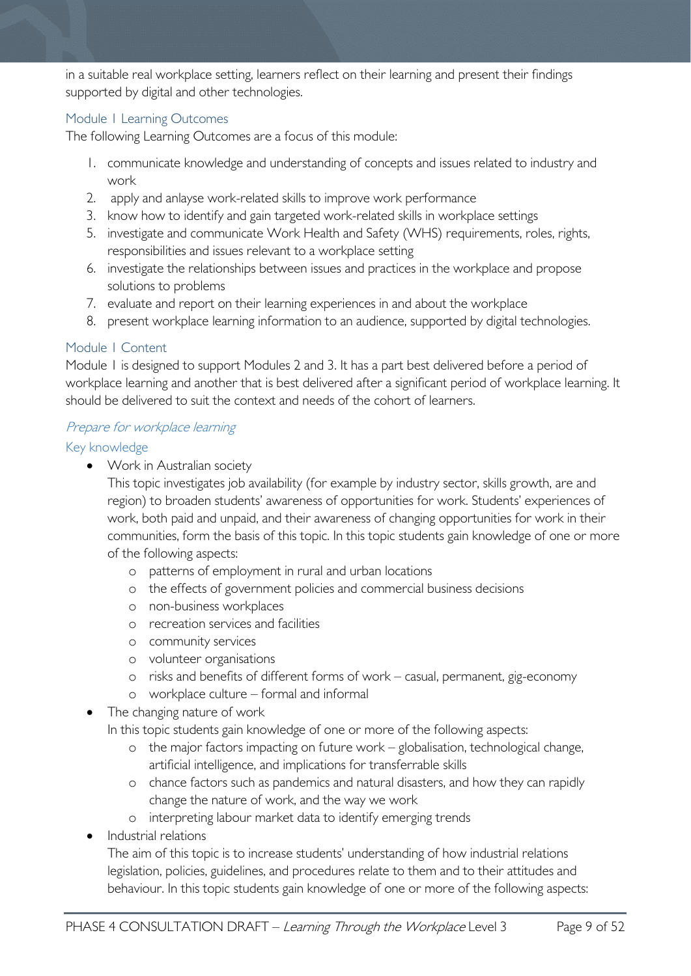in a suitable real workplace setting, learners reflect on their learning and present their findings supported by digital and other technologies.

#### <span id="page-8-0"></span>Module 1 Learning Outcomes

The following Learning Outcomes are a focus of this module:

- 1. communicate knowledge and understanding of concepts and issues related to industry and work
- 2. apply and anlayse work-related skills to improve work performance
- 3. know how to identify and gain targeted work-related skills in workplace settings
- 5. investigate and communicate Work Health and Safety (WHS) requirements, roles, rights, responsibilities and issues relevant to a workplace setting
- 6. investigate the relationships between issues and practices in the workplace and propose solutions to problems
- 7. evaluate and report on their learning experiences in and about the workplace
- 8. present workplace learning information to an audience, supported by digital technologies.

#### <span id="page-8-1"></span>Module 1 Content

Module 1 is designed to support Modules 2 and 3. It has a part best delivered before a period of workplace learning and another that is best delivered after a significant period of workplace learning. It should be delivered to suit the context and needs of the cohort of learners.

#### Prepare for workplace learning

#### Key knowledge

• Work in Australian society

This topic investigates job availability (for example by industry sector, skills growth, are and region) to broaden students' awareness of opportunities for work. Students' experiences of work, both paid and unpaid, and their awareness of changing opportunities for work in their communities, form the basis of this topic. In this topic students gain knowledge of one or more of the following aspects:

- o patterns of employment in rural and urban locations
- o the effects of government policies and commercial business decisions
- o non-business workplaces
- o recreation services and facilities
- o community services
- o volunteer organisations
- o risks and benefits of different forms of work casual, permanent, gig-economy
- o workplace culture formal and informal
- The changing nature of work

In this topic students gain knowledge of one or more of the following aspects:

- o the major factors impacting on future work globalisation, technological change, artificial intelligence, and implications for transferrable skills
- o chance factors such as pandemics and natural disasters, and how they can rapidly change the nature of work, and the way we work
- o interpreting labour market data to identify emerging trends
- Industrial relations
	- The aim of this topic is to increase students' understanding of how industrial relations legislation, policies, guidelines, and procedures relate to them and to their attitudes and behaviour. In this topic students gain knowledge of one or more of the following aspects: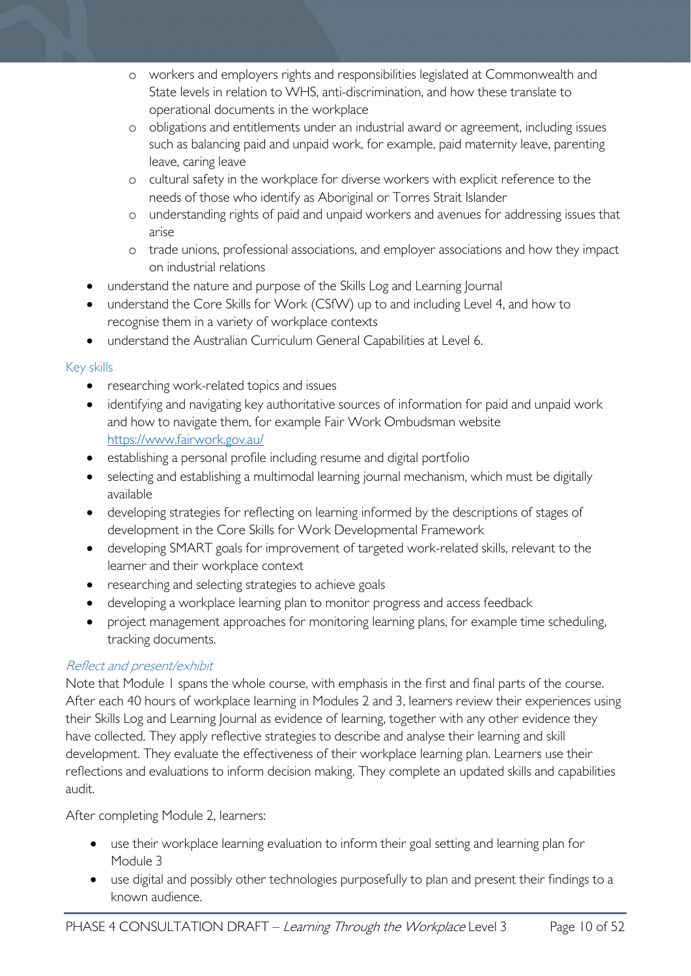- o workers and employers rights and responsibilities legislated at Commonwealth and State levels in relation to WHS, anti-discrimination, and how these translate to operational documents in the workplace
- o obligations and entitlements under an industrial award or agreement, including issues such as balancing paid and unpaid work, for example, paid maternity leave, parenting leave, caring leave
- o cultural safety in the workplace for diverse workers with explicit reference to the needs of those who identify as Aboriginal or Torres Strait Islander
- o understanding rights of paid and unpaid workers and avenues for addressing issues that arise
- o trade unions, professional associations, and employer associations and how they impact on industrial relations
- understand the nature and purpose of the Skills Log and Learning Journal
- understand the Core Skills for Work (CSfW) up to and including Level 4, and how to recognise them in a variety of workplace contexts
- understand the Australian Curriculum General Capabilities at Level 6.

#### Key skills

- researching work-related topics and issues
- identifying and navigating key authoritative sources of information for paid and unpaid work and how to navigate them, for example Fair Work Ombudsman website <https://www.fairwork.gov.au/>
- establishing a personal profile including resume and digital portfolio
- selecting and establishing a multimodal learning journal mechanism, which must be digitally available
- developing strategies for reflecting on learning informed by the descriptions of stages of development in the Core Skills for Work Developmental Framework
- developing SMART goals for improvement of targeted work-related skills, relevant to the learner and their workplace context
- researching and selecting strategies to achieve goals
- developing a workplace learning plan to monitor progress and access feedback
- project management approaches for monitoring learning plans, for example time scheduling, tracking documents.

### Reflect and present/exhibit

Note that Module 1 spans the whole course, with emphasis in the first and final parts of the course. After each 40 hours of workplace learning in Modules 2 and 3, learners review their experiences using their Skills Log and Learning Journal as evidence of learning, together with any other evidence they have collected. They apply reflective strategies to describe and analyse their learning and skill development. They evaluate the effectiveness of their workplace learning plan. Learners use their reflections and evaluations to inform decision making. They complete an updated skills and capabilities audit.

After completing Module 2, learners:

- use their workplace learning evaluation to inform their goal setting and learning plan for Module 3
- use digital and possibly other technologies purposefully to plan and present their findings to a known audience.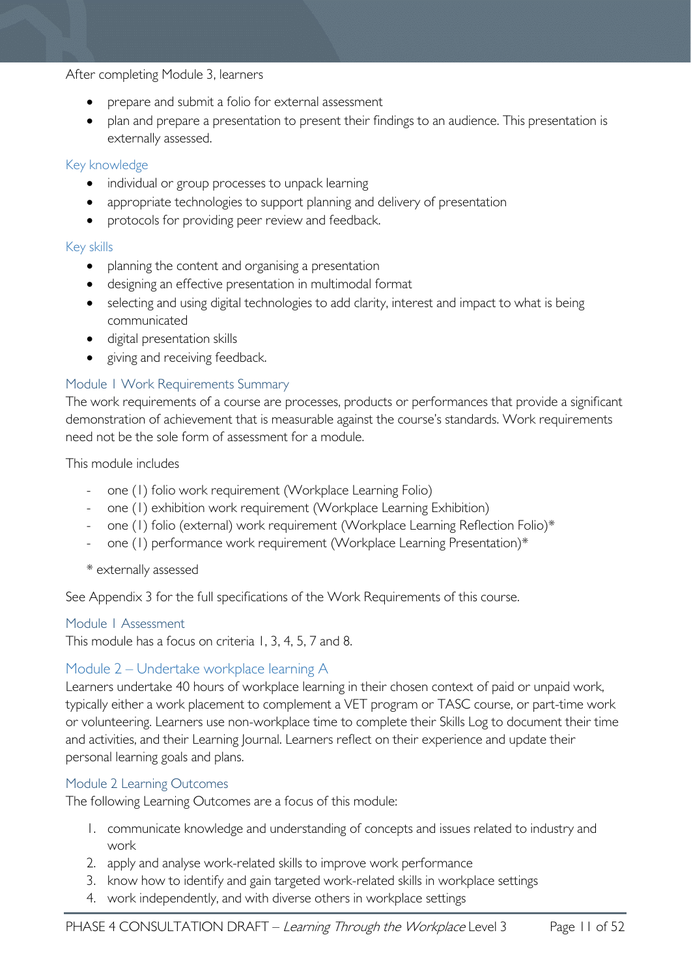#### After completing Module 3, learners

- prepare and submit a folio for external assessment
- plan and prepare a presentation to present their findings to an audience. This presentation is externally assessed.

#### Key knowledge

- individual or group processes to unpack learning
- appropriate technologies to support planning and delivery of presentation
- protocols for providing peer review and feedback.

#### Key skills

- planning the content and organising a presentation
- designing an effective presentation in multimodal format
- selecting and using digital technologies to add clarity, interest and impact to what is being communicated
- digital presentation skills
- giving and receiving feedback.

#### <span id="page-10-0"></span>Module 1 Work Requirements Summary

The work requirements of a course are processes, products or performances that provide a significant demonstration of achievement that is measurable against the course's standards. Work requirements need not be the sole form of assessment for a module.

This module includes

- one (1) folio work requirement (Workplace Learning Folio)
- one (1) exhibition work requirement (Workplace Learning Exhibition)
- one (1) folio (external) work requirement (Workplace Learning Reflection Folio)\*
- one (1) performance work requirement (Workplace Learning Presentation)\*
- \* externally assessed

See Appendix 3 for the full specifications of the Work Requirements of this course.

#### <span id="page-10-1"></span>Module 1 Assessment

This module has a focus on criteria 1, 3, 4, 5, 7 and 8.

#### <span id="page-10-2"></span>Module 2 – Undertake workplace learning A

Learners undertake 40 hours of workplace learning in their chosen context of paid or unpaid work, typically either a work placement to complement a VET program or TASC course, or part-time work or volunteering. Learners use non-workplace time to complete their Skills Log to document their time and activities, and their Learning Journal. Learners reflect on their experience and update their personal learning goals and plans.

#### <span id="page-10-3"></span>Module 2 Learning Outcomes

The following Learning Outcomes are a focus of this module:

- 1. communicate knowledge and understanding of concepts and issues related to industry and work
- 2. apply and analyse work-related skills to improve work performance
- 3. know how to identify and gain targeted work-related skills in workplace settings
- 4. work independently, and with diverse others in workplace settings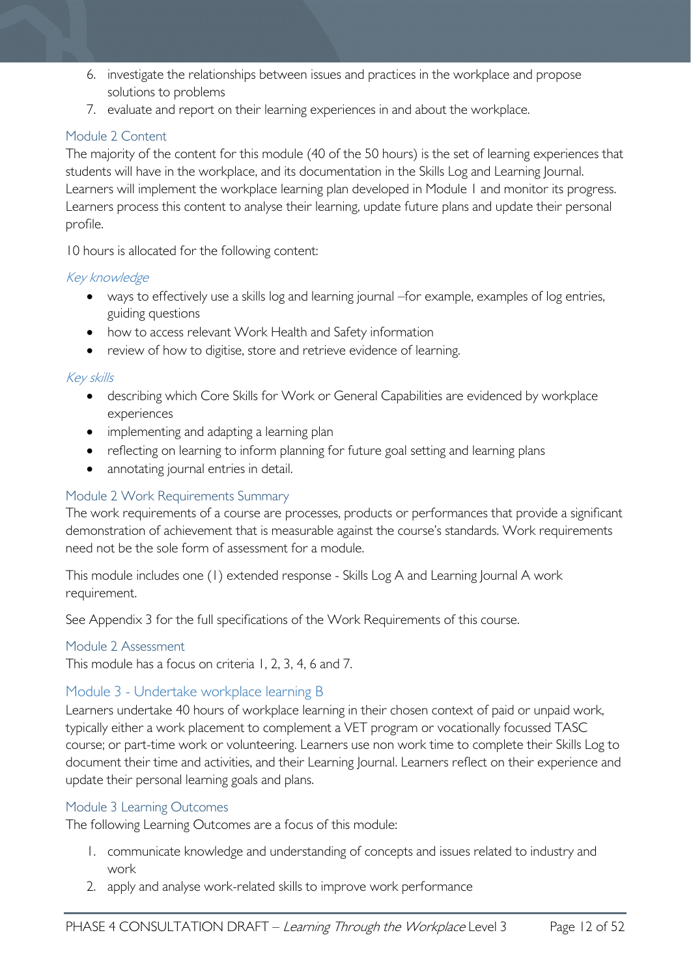- 6. investigate the relationships between issues and practices in the workplace and propose solutions to problems
- 7. evaluate and report on their learning experiences in and about the workplace.

#### <span id="page-11-0"></span>Module 2 Content

The majority of the content for this module (40 of the 50 hours) is the set of learning experiences that students will have in the workplace, and its documentation in the Skills Log and Learning Journal. Learners will implement the workplace learning plan developed in Module 1 and monitor its progress. Learners process this content to analyse their learning, update future plans and update their personal profile.

10 hours is allocated for the following content:

#### Key knowledge

- ways to effectively use a skills log and learning journal –for example, examples of log entries, guiding questions
- how to access relevant Work Health and Safety information
- review of how to digitise, store and retrieve evidence of learning.

#### Key skills

- describing which Core Skills for Work or General Capabilities are evidenced by workplace experiences
- implementing and adapting a learning plan
- reflecting on learning to inform planning for future goal setting and learning plans
- annotating journal entries in detail.

#### <span id="page-11-1"></span>Module 2 Work Requirements Summary

The work requirements of a course are processes, products or performances that provide a significant demonstration of achievement that is measurable against the course's standards. Work requirements need not be the sole form of assessment for a module.

This module includes one (1) extended response - Skills Log A and Learning Journal A work requirement.

See Appendix 3 for the full specifications of the Work Requirements of this course.

#### <span id="page-11-2"></span>Module 2 Assessment

This module has a focus on criteria 1, 2, 3, 4, 6 and 7.

#### <span id="page-11-3"></span>Module 3 - Undertake workplace learning B

Learners undertake 40 hours of workplace learning in their chosen context of paid or unpaid work, typically either a work placement to complement a VET program or vocationally focussed TASC course; or part-time work or volunteering. Learners use non work time to complete their Skills Log to document their time and activities, and their Learning Journal. Learners reflect on their experience and update their personal learning goals and plans.

#### <span id="page-11-4"></span>Module 3 Learning Outcomes

The following Learning Outcomes are a focus of this module:

- 1. communicate knowledge and understanding of concepts and issues related to industry and work
- 2. apply and analyse work-related skills to improve work performance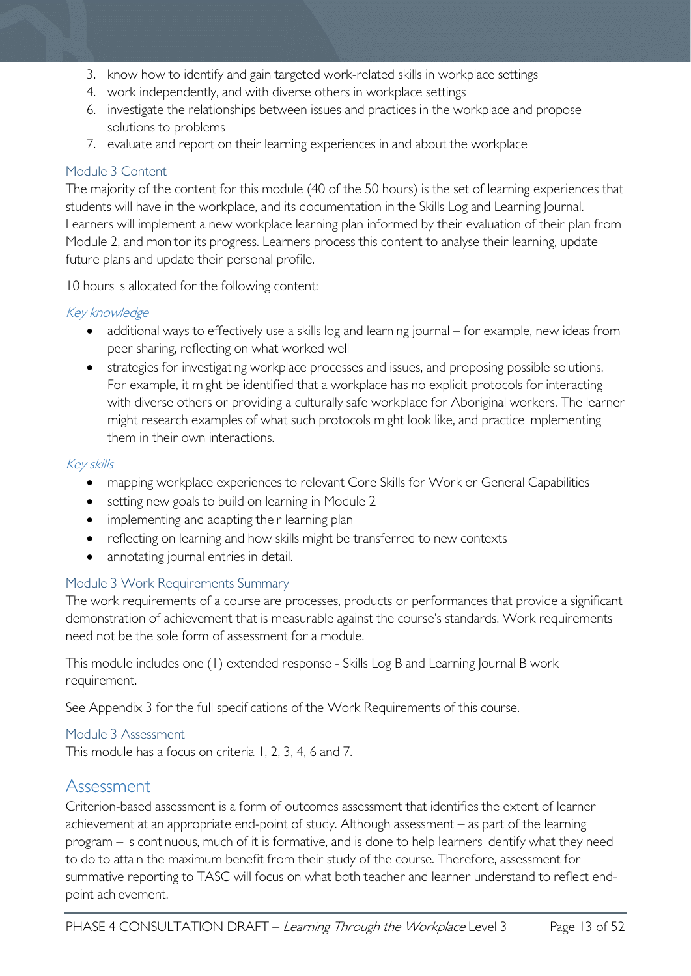- 3. know how to identify and gain targeted work-related skills in workplace settings
- 4. work independently, and with diverse others in workplace settings
- 6. investigate the relationships between issues and practices in the workplace and propose solutions to problems
- 7. evaluate and report on their learning experiences in and about the workplace

#### <span id="page-12-0"></span>Module 3 Content

The majority of the content for this module (40 of the 50 hours) is the set of learning experiences that students will have in the workplace, and its documentation in the Skills Log and Learning Journal. Learners will implement a new workplace learning plan informed by their evaluation of their plan from Module 2, and monitor its progress. Learners process this content to analyse their learning, update future plans and update their personal profile.

10 hours is allocated for the following content:

#### Key knowledge

- additional ways to effectively use a skills log and learning journal for example, new ideas from peer sharing, reflecting on what worked well
- strategies for investigating workplace processes and issues, and proposing possible solutions. For example, it might be identified that a workplace has no explicit protocols for interacting with diverse others or providing a culturally safe workplace for Aboriginal workers. The learner might research examples of what such protocols might look like, and practice implementing them in their own interactions.

#### Key skills

- mapping workplace experiences to relevant Core Skills for Work or General Capabilities
- setting new goals to build on learning in Module 2
- implementing and adapting their learning plan
- reflecting on learning and how skills might be transferred to new contexts
- annotating journal entries in detail.

#### <span id="page-12-1"></span>Module 3 Work Requirements Summary

The work requirements of a course are processes, products or performances that provide a significant demonstration of achievement that is measurable against the course's standards. Work requirements need not be the sole form of assessment for a module.

This module includes one (1) extended response - Skills Log B and Learning Journal B work requirement.

See Appendix 3 for the full specifications of the Work Requirements of this course.

#### <span id="page-12-2"></span>Module 3 Assessment

This module has a focus on criteria 1, 2, 3, 4, 6 and 7.

### <span id="page-12-3"></span>Assessment

Criterion-based assessment is a form of outcomes assessment that identifies the extent of learner achievement at an appropriate end-point of study. Although assessment – as part of the learning program – is continuous, much of it is formative, and is done to help learners identify what they need to do to attain the maximum benefit from their study of the course. Therefore, assessment for summative reporting to TASC will focus on what both teacher and learner understand to reflect endpoint achievement.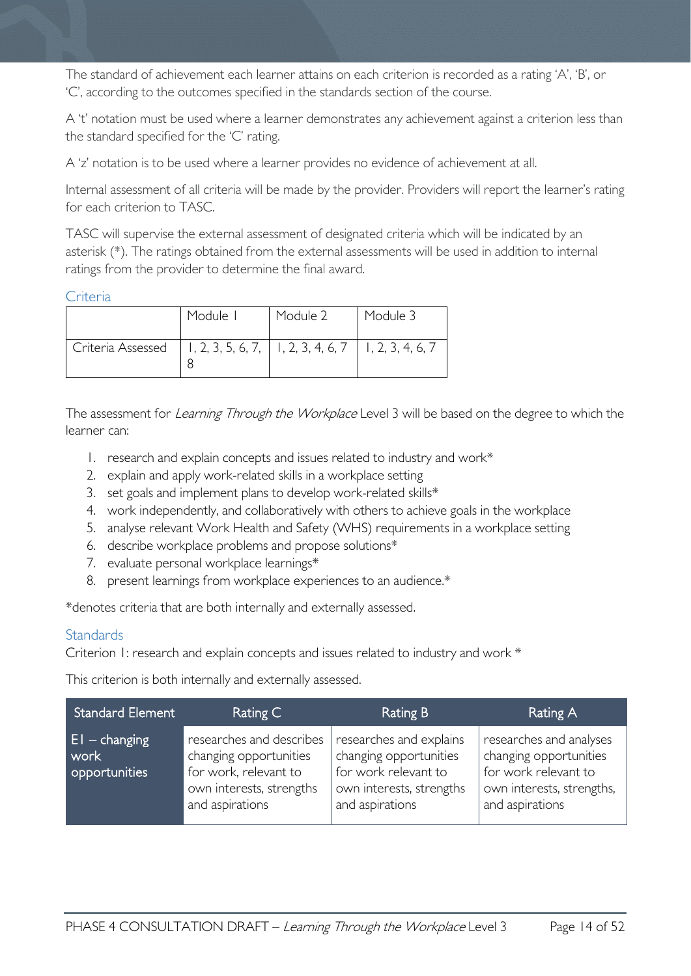The standard of achievement each learner attains on each criterion is recorded as a rating 'A', 'B', or 'C', according to the outcomes specified in the standards section of the course.

A 't' notation must be used where a learner demonstrates any achievement against a criterion less than the standard specified for the 'C' rating.

A 'z' notation is to be used where a learner provides no evidence of achievement at all.

Internal assessment of all criteria will be made by the provider. Providers will report the learner's rating for each criterion to TASC.

TASC will supervise the external assessment of designated criteria which will be indicated by an asterisk (\*). The ratings obtained from the external assessments will be used in addition to internal ratings from the provider to determine the final award.

#### <span id="page-13-0"></span>**Criteria**

|                                                                             | Module I | Module 2 | Module 3 |
|-----------------------------------------------------------------------------|----------|----------|----------|
| Criteria Assessed   1, 2, 3, 5, 6, 7,   1, 2, 3, 4, 6, 7   1, 2, 3, 4, 6, 7 |          |          |          |

The assessment for Learning Through the Workplace Level 3 will be based on the degree to which the learner can:

- 1. research and explain concepts and issues related to industry and work\*
- 2. explain and apply work-related skills in a workplace setting
- 3. set goals and implement plans to develop work-related skills\*
- 4. work independently, and collaboratively with others to achieve goals in the workplace
- 5. analyse relevant Work Health and Safety (WHS) requirements in a workplace setting
- 6. describe workplace problems and propose solutions\*
- 7. evaluate personal workplace learnings\*
- 8. present learnings from workplace experiences to an audience.\*

\*denotes criteria that are both internally and externally assessed.

#### <span id="page-13-1"></span>**Standards**

Criterion 1: research and explain concepts and issues related to industry and work \*

This criterion is both internally and externally assessed.

| <b>Standard Element</b>                   | Rating C                                                                                                                   | Rating B                                                                                                                 | Rating A                                                                                                                  |
|-------------------------------------------|----------------------------------------------------------------------------------------------------------------------------|--------------------------------------------------------------------------------------------------------------------------|---------------------------------------------------------------------------------------------------------------------------|
| $ E $ – changing<br>work<br>opportunities | researches and describes<br>changing opportunities<br>for work, relevant to<br>own interests, strengths<br>and aspirations | researches and explains<br>changing opportunities<br>for work relevant to<br>own interests, strengths<br>and aspirations | researches and analyses<br>changing opportunities<br>for work relevant to<br>own interests, strengths,<br>and aspirations |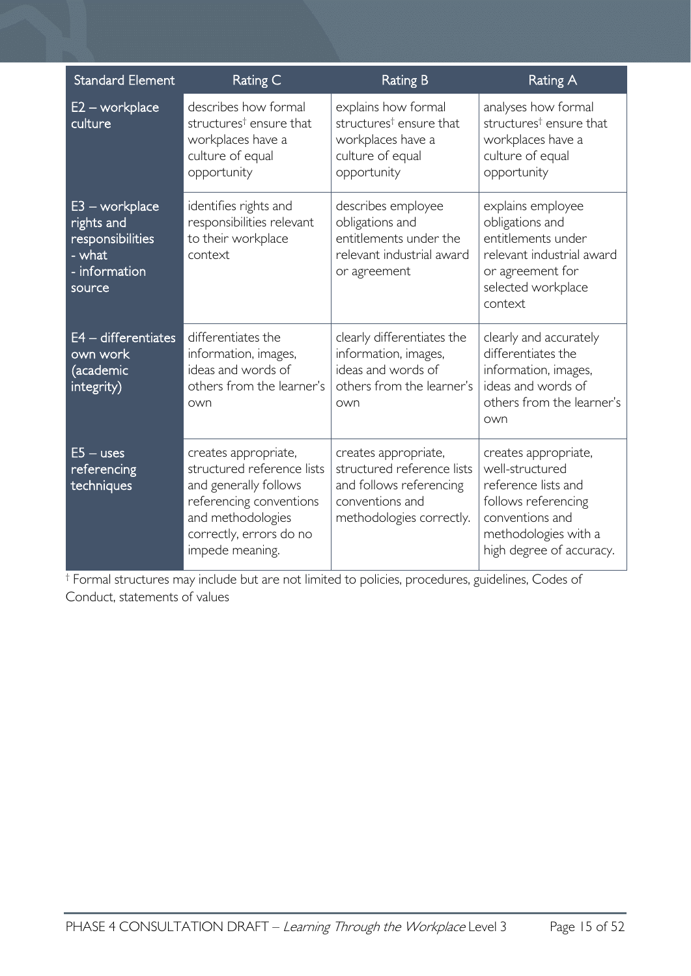| <b>Standard Element</b>                                                                 | Rating C                                                                                                                                                                  | <b>Rating B</b>                                                                                                              | <b>Rating A</b>                                                                                                                                              |
|-----------------------------------------------------------------------------------------|---------------------------------------------------------------------------------------------------------------------------------------------------------------------------|------------------------------------------------------------------------------------------------------------------------------|--------------------------------------------------------------------------------------------------------------------------------------------------------------|
| $E2 - workplace$<br>culture                                                             | describes how formal<br>structures <sup>†</sup> ensure that<br>workplaces have a<br>culture of equal<br>opportunity                                                       | explains how formal<br>structures <sup>†</sup> ensure that<br>workplaces have a<br>culture of equal<br>opportunity           | analyses how formal<br>structures <sup>†</sup> ensure that<br>workplaces have a<br>culture of equal<br>opportunity                                           |
| $E3 - workplace$<br>rights and<br>responsibilities<br>- what<br>- information<br>source | identifies rights and<br>responsibilities relevant<br>to their workplace<br>context                                                                                       | describes employee<br>obligations and<br>entitlements under the<br>relevant industrial award<br>or agreement                 | explains employee<br>obligations and<br>entitlements under<br>relevant industrial award<br>or agreement for<br>selected workplace<br>context                 |
| $E4 -$ differentiates<br>own work<br>(academic<br>integrity)                            | differentiates the<br>information, images,<br>ideas and words of<br>others from the learner's<br>own                                                                      | clearly differentiates the<br>information, images,<br>ideas and words of<br>others from the learner's<br>own                 | clearly and accurately<br>differentiates the<br>information, images,<br>ideas and words of<br>others from the learner's<br>own                               |
| $E5 -$ uses<br>referencing<br>techniques                                                | creates appropriate,<br>structured reference lists<br>and generally follows<br>referencing conventions<br>and methodologies<br>correctly, errors do no<br>impede meaning. | creates appropriate,<br>structured reference lists<br>and follows referencing<br>conventions and<br>methodologies correctly. | creates appropriate,<br>well-structured<br>reference lists and<br>follows referencing<br>conventions and<br>methodologies with a<br>high degree of accuracy. |

† Formal structures may include but are not limited to policies, procedures, guidelines, Codes of Conduct, statements of values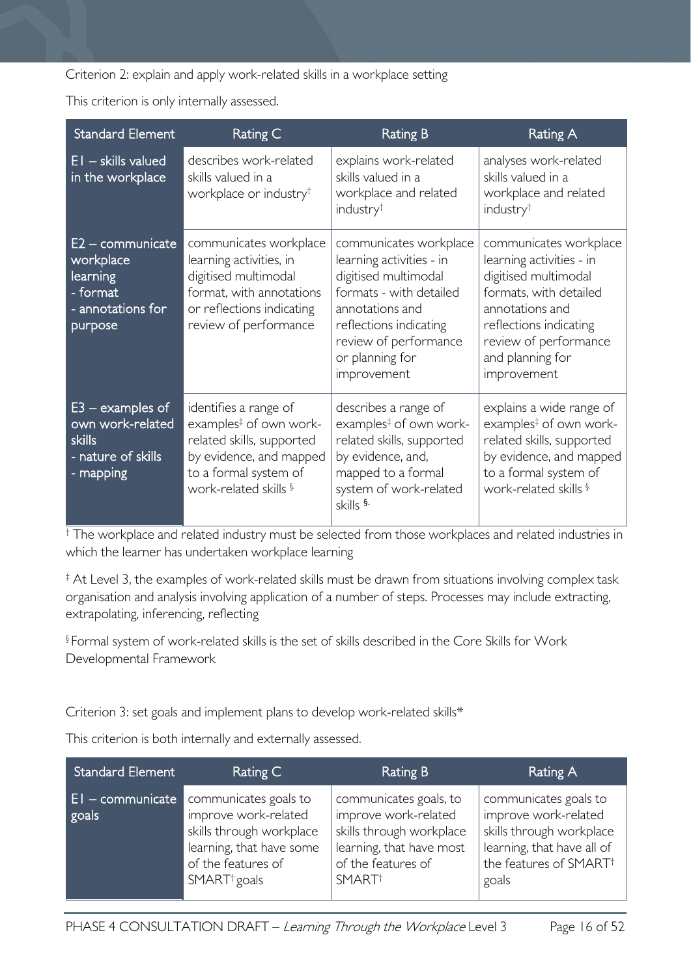Criterion 2: explain and apply work-related skills in a workplace setting

This criterion is only internally assessed.

| <b>Standard Element</b>                                                                    | Rating C                                                                                                                                                              | <b>Rating B</b>                                                                                                                                                                                               | <b>Rating A</b>                                                                                                                                                                                               |
|--------------------------------------------------------------------------------------------|-----------------------------------------------------------------------------------------------------------------------------------------------------------------------|---------------------------------------------------------------------------------------------------------------------------------------------------------------------------------------------------------------|---------------------------------------------------------------------------------------------------------------------------------------------------------------------------------------------------------------|
| $\overline{EI}$ – skills valued<br>in the workplace                                        | describes work-related<br>skills valued in a<br>workplace or industry <sup>t</sup>                                                                                    | explains work-related<br>skills valued in a<br>workplace and related<br>industry <sup>t</sup>                                                                                                                 | analyses work-related<br>skills valued in a<br>workplace and related<br>industry <sup>†</sup>                                                                                                                 |
| $E2 -$ communicate<br>workplace<br>learning<br>- format<br>- annotations for<br>purpose    | communicates workplace<br>learning activities, in<br>digitised multimodal<br>format, with annotations<br>or reflections indicating<br>review of performance           | communicates workplace<br>learning activities - in<br>digitised multimodal<br>formats - with detailed<br>annotations and<br>reflections indicating<br>review of performance<br>or planning for<br>improvement | communicates workplace<br>learning activities - in<br>digitised multimodal<br>formats, with detailed<br>annotations and<br>reflections indicating<br>review of performance<br>and planning for<br>improvement |
| $E3 -$ examples of<br>own work-related<br><b>skills</b><br>- nature of skills<br>- mapping | identifies a range of<br>examples <sup>‡</sup> of own work-<br>related skills, supported<br>by evidence, and mapped<br>to a formal system of<br>work-related skills § | describes a range of<br>examples <sup>‡</sup> of own work-<br>related skills, supported<br>by evidence, and,<br>mapped to a formal<br>system of work-related<br>skills <sup>§.</sup>                          | explains a wide range of<br>examples <sup>‡</sup> of own work-<br>related skills, supported<br>by evidence, and mapped<br>to a formal system of<br>work-related skills §                                      |

† The workplace and related industry must be selected from those workplaces and related industries in which the learner has undertaken workplace learning

‡ At Level 3, the examples of work-related skills must be drawn from situations involving complex task organisation and analysis involving application of a number of steps. Processes may include extracting, extrapolating, inferencing, reflecting

§ Formal system of work-related skills is the set of skills described in the Core Skills for Work Developmental Framework

Criterion 3: set goals and implement plans to develop work-related skills\*

This criterion is both internally and externally assessed.

| <b>Standard Element</b>     | Rating C                                                                                                                                                | Rating B                                                                                                                                           | Rating A                                                                                                                                               |
|-----------------------------|---------------------------------------------------------------------------------------------------------------------------------------------------------|----------------------------------------------------------------------------------------------------------------------------------------------------|--------------------------------------------------------------------------------------------------------------------------------------------------------|
| $E1 -$ communicate<br>goals | communicates goals to<br>improve work-related<br>skills through workplace<br>learning, that have some<br>of the features of<br>SMART <sup>+</sup> goals | communicates goals, to<br>improve work-related<br>skills through workplace<br>learning, that have most<br>of the features of<br>SMART <sup>+</sup> | communicates goals to<br>improve work-related<br>skills through workplace<br>learning, that have all of<br>the features of SMART <sup>+</sup><br>goals |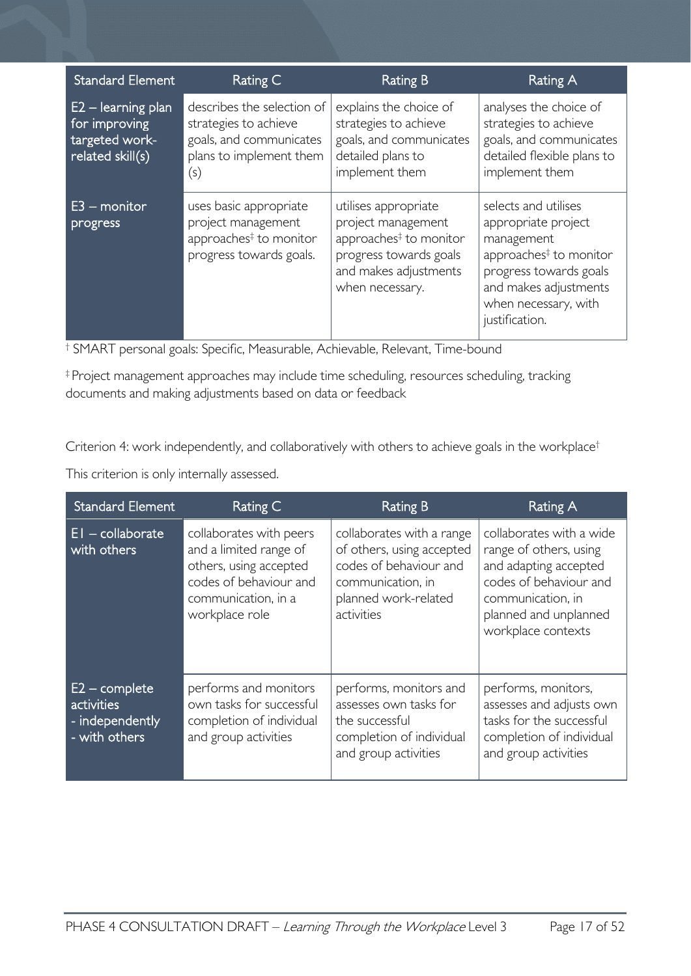| <b>Standard Element</b>                                                     | Rating C                                                                                                         | <b>Rating B</b>                                                                                                                                        | <b>Rating A</b>                                                                                                                                                                              |
|-----------------------------------------------------------------------------|------------------------------------------------------------------------------------------------------------------|--------------------------------------------------------------------------------------------------------------------------------------------------------|----------------------------------------------------------------------------------------------------------------------------------------------------------------------------------------------|
| $E2 - learning plan$<br>for improving<br>targeted work-<br>related skill(s) | describes the selection of<br>strategies to achieve<br>goals, and communicates<br>plans to implement them<br>(s) | explains the choice of<br>strategies to achieve<br>goals, and communicates<br>detailed plans to<br>implement them                                      | analyses the choice of<br>strategies to achieve<br>goals, and communicates<br>detailed flexible plans to<br>implement them                                                                   |
| $E3$ – monitor<br>progress                                                  | uses basic appropriate<br>project management<br>approaches <sup>#</sup> to monitor<br>progress towards goals.    | utilises appropriate<br>project management<br>approaches <sup>‡</sup> to monitor<br>progress towards goals<br>and makes adjustments<br>when necessary. | selects and utilises<br>appropriate project<br>management<br>approaches <sup>‡</sup> to monitor<br>progress towards goals<br>and makes adjustments<br>when necessary, with<br>justification. |

† SMART personal goals: Specific, Measurable, Achievable, Relevant, Time-bound

‡ Project management approaches may include time scheduling, resources scheduling, tracking documents and making adjustments based on data or feedback

Criterion 4: work independently, and collaboratively with others to achieve goals in the workplace<sup>†</sup>

This criterion is only internally assessed.

| <b>Standard Element</b>                                           | Rating C                                                                                                                                       | Rating B                                                                                                                                    | Rating A                                                                                                                                                                  |
|-------------------------------------------------------------------|------------------------------------------------------------------------------------------------------------------------------------------------|---------------------------------------------------------------------------------------------------------------------------------------------|---------------------------------------------------------------------------------------------------------------------------------------------------------------------------|
| $EI - collaborate$<br>with others                                 | collaborates with peers<br>and a limited range of<br>others, using accepted<br>codes of behaviour and<br>communication, in a<br>workplace role | collaborates with a range<br>of others, using accepted<br>codes of behaviour and<br>communication, in<br>planned work-related<br>activities | collaborates with a wide<br>range of others, using<br>and adapting accepted<br>codes of behaviour and<br>communication, in<br>planned and unplanned<br>workplace contexts |
| $E2$ – complete<br>activities<br>- independently<br>- with others | performs and monitors<br>own tasks for successful<br>completion of individual<br>and group activities                                          | performs, monitors and<br>assesses own tasks for<br>the successful<br>completion of individual<br>and group activities                      | performs, monitors,<br>assesses and adjusts own<br>tasks for the successful<br>completion of individual<br>and group activities                                           |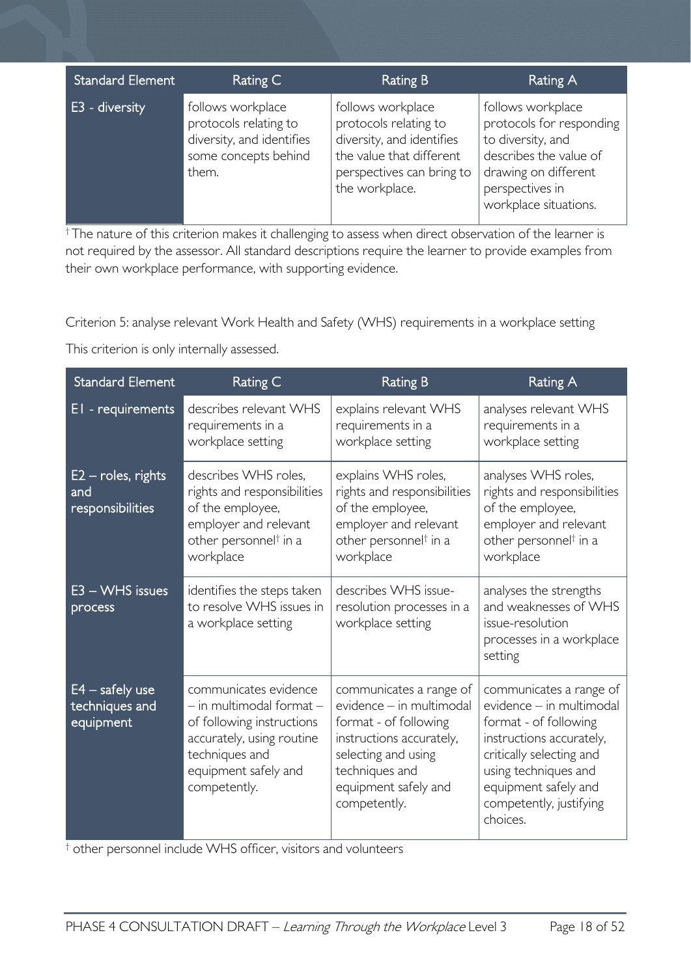| <b>Standard Element</b> | Rating C                                                                                                 | <b>Rating B</b>                                                                                                                                    | Rating A                                                                                                                                                         |
|-------------------------|----------------------------------------------------------------------------------------------------------|----------------------------------------------------------------------------------------------------------------------------------------------------|------------------------------------------------------------------------------------------------------------------------------------------------------------------|
| <b>E3</b> - diversity   | follows workplace<br>protocols relating to<br>diversity, and identifies<br>some concepts behind<br>them. | follows workplace<br>protocols relating to<br>diversity, and identifies<br>the value that different<br>perspectives can bring to<br>the workplace. | follows workplace<br>protocols for responding<br>to diversity, and<br>describes the value of<br>drawing on different<br>perspectives in<br>workplace situations. |

<sup>†</sup>The nature of this criterion makes it challenging to assess when direct observation of the learner is not required by the assessor. All standard descriptions require the learner to provide examples from their own workplace performance, with supporting evidence.

Criterion 5: analyse relevant Work Health and Safety (WHS) requirements in a workplace setting

This criterion is only internally assessed.

| <b>Standard Element</b>                               | Rating C                                                                                                                                                                  | <b>Rating B</b>                                                                                                                                                                           | Rating A                                                                                                                                                                                                                    |
|-------------------------------------------------------|---------------------------------------------------------------------------------------------------------------------------------------------------------------------------|-------------------------------------------------------------------------------------------------------------------------------------------------------------------------------------------|-----------------------------------------------------------------------------------------------------------------------------------------------------------------------------------------------------------------------------|
| EI - requirements                                     | describes relevant WHS<br>requirements in a<br>workplace setting                                                                                                          | explains relevant WHS<br>requirements in a<br>workplace setting                                                                                                                           | analyses relevant WHS<br>requirements in a<br>workplace setting                                                                                                                                                             |
| $E2$ – roles, rights<br>and<br>responsibilities       | describes WHS roles,<br>rights and responsibilities<br>of the employee,<br>employer and relevant<br>other personnel <sup>†</sup> in a<br>workplace                        | explains WHS roles,<br>rights and responsibilities<br>of the employee,<br>employer and relevant<br>other personnel <sup>†</sup> in a<br>workplace                                         | analyses WHS roles,<br>rights and responsibilities<br>of the employee,<br>employer and relevant<br>other personnel <sup>†</sup> in a<br>workplace                                                                           |
| $E3 - WHS$ issues<br>process                          | identifies the steps taken<br>to resolve WHS issues in<br>a workplace setting                                                                                             | describes WHS issue-<br>resolution processes in a<br>workplace setting                                                                                                                    | analyses the strengths<br>and weaknesses of WHS<br>issue-resolution<br>processes in a workplace<br>setting                                                                                                                  |
| $E4 - \text{safe}$ use<br>techniques and<br>equipment | communicates evidence<br>$-$ in multimodal format $-$<br>of following instructions<br>accurately, using routine<br>techniques and<br>equipment safely and<br>competently. | communicates a range of<br>evidence - in multimodal<br>format - of following<br>instructions accurately,<br>selecting and using<br>techniques and<br>equipment safely and<br>competently. | communicates a range of<br>evidence - in multimodal<br>format - of following<br>instructions accurately,<br>critically selecting and<br>using techniques and<br>equipment safely and<br>competently, justifying<br>choices. |

† other personnel include WHS officer, visitors and volunteers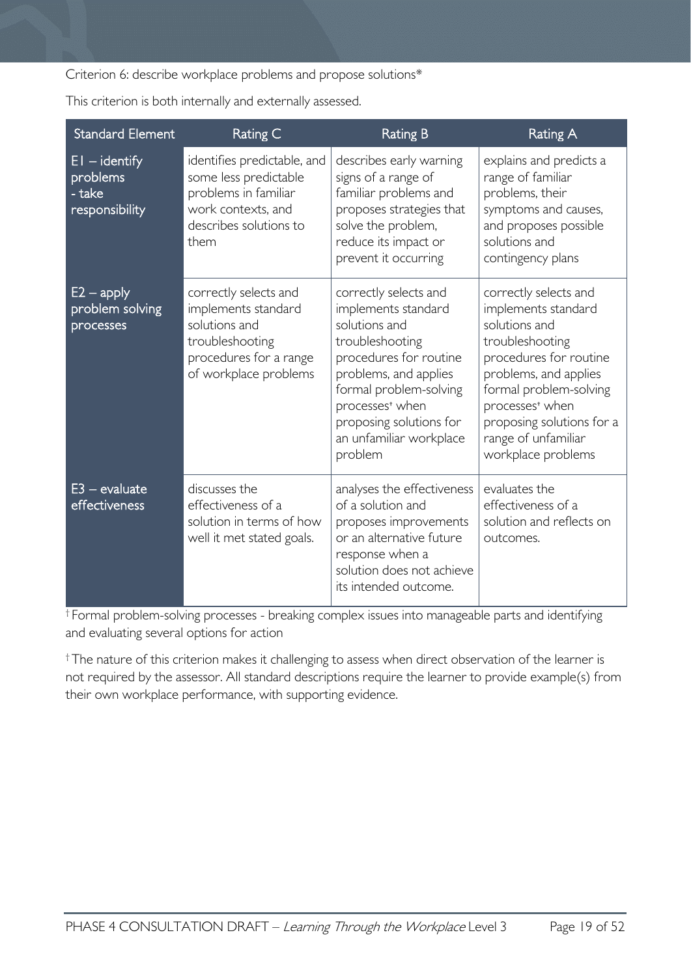Criterion 6: describe workplace problems and propose solutions\*

This criterion is both internally and externally assessed.

| <b>Standard Element</b>                                 | Rating C                                                                                                                             | <b>Rating B</b>                                                                                                                                                                                                                                               | <b>Rating A</b>                                                                                                                                                                                                                                                        |
|---------------------------------------------------------|--------------------------------------------------------------------------------------------------------------------------------------|---------------------------------------------------------------------------------------------------------------------------------------------------------------------------------------------------------------------------------------------------------------|------------------------------------------------------------------------------------------------------------------------------------------------------------------------------------------------------------------------------------------------------------------------|
| $EI - identity$<br>problems<br>- take<br>responsibility | identifies predictable, and<br>some less predictable<br>problems in familiar<br>work contexts, and<br>describes solutions to<br>them | describes early warning<br>signs of a range of<br>familiar problems and<br>proposes strategies that<br>solve the problem,<br>reduce its impact or<br>prevent it occurring                                                                                     | explains and predicts a<br>range of familiar<br>problems, their<br>symptoms and causes,<br>and proposes possible<br>solutions and<br>contingency plans                                                                                                                 |
| $E2 - apply$<br>problem solving<br>processes            | correctly selects and<br>implements standard<br>solutions and<br>troubleshooting<br>procedures for a range<br>of workplace problems  | correctly selects and<br>implements standard<br>solutions and<br>troubleshooting<br>procedures for routine<br>problems, and applies<br>formal problem-solving<br>processes <sup>+</sup> when<br>proposing solutions for<br>an unfamiliar workplace<br>problem | correctly selects and<br>implements standard<br>solutions and<br>troubleshooting<br>procedures for routine<br>problems, and applies<br>formal problem-solving<br>processes <sup>+</sup> when<br>proposing solutions for a<br>range of unfamiliar<br>workplace problems |
| $E3 - evaluate$<br>effectiveness                        | discusses the<br>effectiveness of a<br>solution in terms of how<br>well it met stated goals.                                         | analyses the effectiveness<br>of a solution and<br>proposes improvements<br>or an alternative future<br>response when a<br>solution does not achieve<br>its intended outcome.                                                                                 | evaluates the<br>effectiveness of a<br>solution and reflects on<br>outcomes.                                                                                                                                                                                           |

† Formal problem-solving processes - breaking complex issues into manageable parts and identifying and evaluating several options for action

† The nature of this criterion makes it challenging to assess when direct observation of the learner is not required by the assessor. All standard descriptions require the learner to provide example(s) from their own workplace performance, with supporting evidence.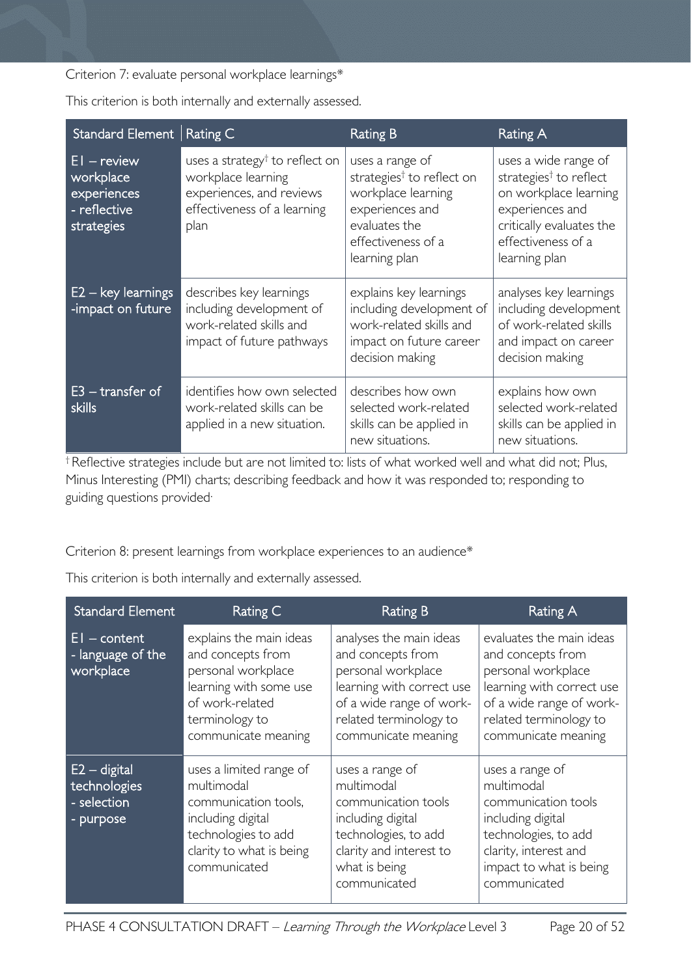Criterion 7: evaluate personal workplace learnings\*

| Standard Element Rating C                                               |                                                                                                                                     | Rating B                                                                                                                                                  | Rating A                                                                                                                                                                  |
|-------------------------------------------------------------------------|-------------------------------------------------------------------------------------------------------------------------------------|-----------------------------------------------------------------------------------------------------------------------------------------------------------|---------------------------------------------------------------------------------------------------------------------------------------------------------------------------|
| $EI - review$<br>workplace<br>experiences<br>- reflective<br>strategies | uses a strategy <sup>†</sup> to reflect on<br>workplace learning<br>experiences, and reviews<br>effectiveness of a learning<br>plan | uses a range of<br>strategies <sup>†</sup> to reflect on<br>workplace learning<br>experiences and<br>evaluates the<br>effectiveness of a<br>learning plan | uses a wide range of<br>strategies <sup>†</sup> to reflect<br>on workplace learning<br>experiences and<br>critically evaluates the<br>effectiveness of a<br>learning plan |
| $E2 - \text{key}$ learnings<br>-impact on future                        | describes key learnings<br>including development of<br>work-related skills and<br>impact of future pathways                         | explains key learnings<br>including development of<br>work-related skills and<br>impact on future career<br>decision making                               | analyses key learnings<br>including development<br>of work-related skills<br>and impact on career<br>decision making                                                      |
| $E3 - transfer of$<br><b>skills</b>                                     | identifies how own selected<br>work-related skills can be<br>applied in a new situation.                                            | describes how own<br>selected work-related<br>skills can be applied in<br>new situations.                                                                 | explains how own<br>selected work-related<br>skills can be applied in<br>new situations.                                                                                  |

This criterion is both internally and externally assessed.

† Reflective strategies include but are not limited to: lists of what worked well and what did not; Plus, Minus Interesting (PMI) charts; describing feedback and how it was responded to; responding to guiding questions provided.

Criterion 8: present learnings from workplace experiences to an audience\*

This criterion is both internally and externally assessed.

| <b>Standard Element</b>                                    | Rating C                                                                                                                                                 | <b>Rating B</b>                                                                                                                                                              | Rating A                                                                                                                                                                      |
|------------------------------------------------------------|----------------------------------------------------------------------------------------------------------------------------------------------------------|------------------------------------------------------------------------------------------------------------------------------------------------------------------------------|-------------------------------------------------------------------------------------------------------------------------------------------------------------------------------|
| $EI - content$<br>- language of the<br>workplace           | explains the main ideas<br>and concepts from<br>personal workplace<br>learning with some use<br>of work-related<br>terminology to<br>communicate meaning | analyses the main ideas<br>and concepts from<br>personal workplace<br>learning with correct use<br>of a wide range of work-<br>related terminology to<br>communicate meaning | evaluates the main ideas<br>and concepts from<br>personal workplace<br>learning with correct use<br>of a wide range of work-<br>related terminology to<br>communicate meaning |
| $E2 -$ digital<br>technologies<br>- selection<br>- purpose | uses a limited range of<br>multimodal<br>communication tools,<br>including digital<br>technologies to add<br>clarity to what is being<br>communicated    | uses a range of<br>multimodal<br>communication tools<br>including digital<br>technologies, to add<br>clarity and interest to<br>what is being<br>communicated                | uses a range of<br>multimodal<br>communication tools<br>including digital<br>technologies, to add<br>clarity, interest and<br>impact to what is being<br>communicated         |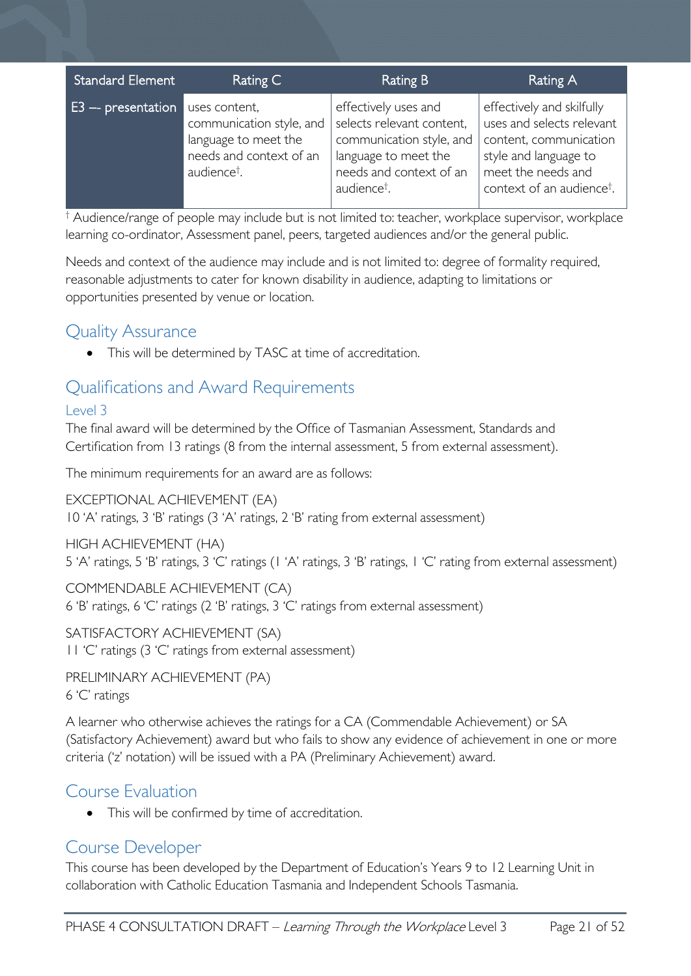| <b>Standard Element</b> | Rating C                                                                                                                | Rating B                                                                                                                                                    | Rating A                                                                                                                                                                 |
|-------------------------|-------------------------------------------------------------------------------------------------------------------------|-------------------------------------------------------------------------------------------------------------------------------------------------------------|--------------------------------------------------------------------------------------------------------------------------------------------------------------------------|
| $E3$ -- presentation    | uses content,<br>communication style, and<br>language to meet the<br>needs and context of an<br>audience <sup>†</sup> . | effectively uses and<br>selects relevant content,<br>communication style, and<br>language to meet the<br>needs and context of an<br>audience <sup>†</sup> . | effectively and skilfully<br>uses and selects relevant<br>content, communication<br>style and language to<br>meet the needs and<br>context of an audience <sup>†</sup> . |

† Audience/range of people may include but is not limited to: teacher, workplace supervisor, workplace learning co-ordinator, Assessment panel, peers, targeted audiences and/or the general public.

Needs and context of the audience may include and is not limited to: degree of formality required, reasonable adjustments to cater for known disability in audience, adapting to limitations or opportunities presented by venue or location.

# <span id="page-20-0"></span>Quality Assurance

• This will be determined by TASC at time of accreditation.

# <span id="page-20-1"></span>Qualifications and Award Requirements

## <span id="page-20-2"></span>Level 3

The final award will be determined by the Office of Tasmanian Assessment, Standards and Certification from 13 ratings (8 from the internal assessment, 5 from external assessment).

The minimum requirements for an award are as follows:

EXCEPTIONAL ACHIEVEMENT (EA) 10 'A' ratings, 3 'B' ratings (3 'A' ratings, 2 'B' rating from external assessment)

HIGH ACHIEVEMENT (HA)

5 'A' ratings, 5 'B' ratings, 3 'C' ratings (1 'A' ratings, 3 'B' ratings, 1 'C' rating from external assessment)

COMMENDABLE ACHIEVEMENT (CA) 6 'B' ratings, 6 'C' ratings (2 'B' ratings, 3 'C' ratings from external assessment)

SATISFACTORY ACHIEVEMENT (SA) 11 'C' ratings (3 'C' ratings from external assessment)

PRELIMINARY ACHIEVEMENT (PA) 6 'C' ratings

A learner who otherwise achieves the ratings for a CA (Commendable Achievement) or SA (Satisfactory Achievement) award but who fails to show any evidence of achievement in one or more criteria ('z' notation) will be issued with a PA (Preliminary Achievement) award.

# <span id="page-20-3"></span>Course Evaluation

• This will be confirmed by time of accreditation.

# <span id="page-20-4"></span>Course Developer

This course has been developed by the Department of Education's Years 9 to 12 Learning Unit in collaboration with Catholic Education Tasmania and Independent Schools Tasmania.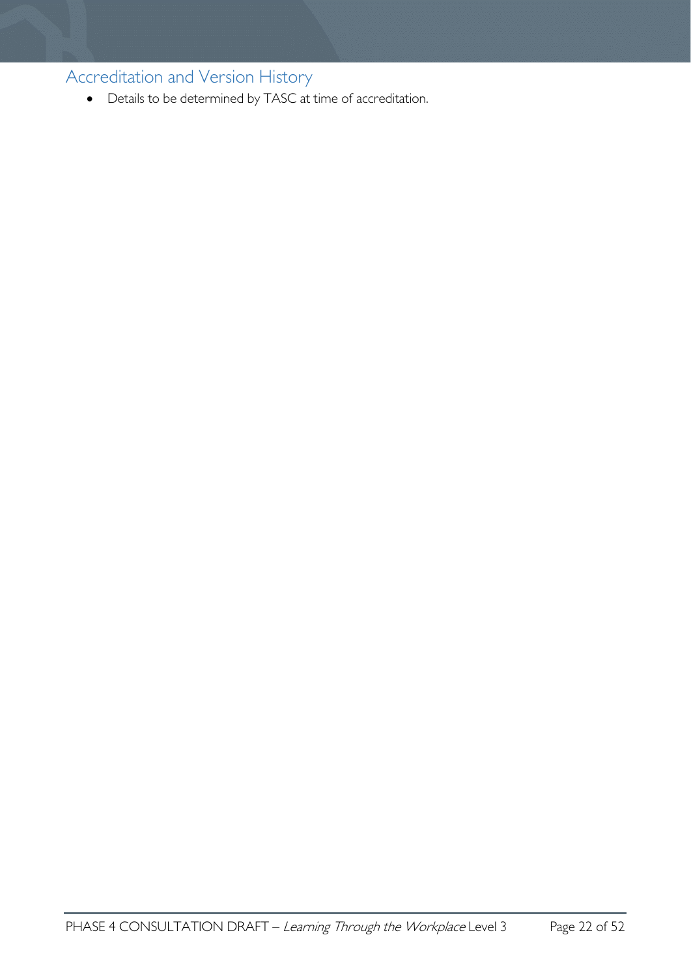<span id="page-21-0"></span>Accreditation and Version History

• Details to be determined by TASC at time of accreditation.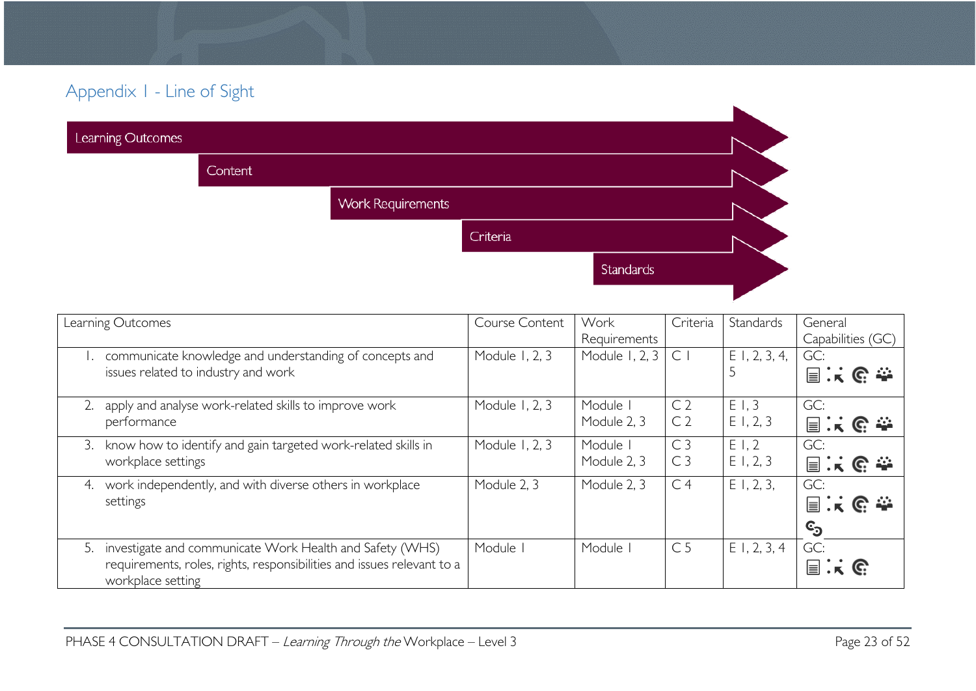# Appendix 1 - Line of Sight

| Learning Outcomes |         |                          |          |           |  |
|-------------------|---------|--------------------------|----------|-----------|--|
|                   | Content |                          |          |           |  |
|                   |         | <b>Work Requirements</b> |          |           |  |
|                   |         |                          | Criteria |           |  |
|                   |         |                          |          | Standards |  |
|                   |         |                          |          |           |  |

<span id="page-22-0"></span>

| Learning Outcomes                                                                           | Course Content | Work           | Criteria       | Standards       | General           |
|---------------------------------------------------------------------------------------------|----------------|----------------|----------------|-----------------|-------------------|
|                                                                                             |                | Requirements   |                |                 | Capabilities (GC) |
| communicate knowledge and understanding of concepts and                                     | Module 1, 2, 3 | Module 1, 2, 3 | $\subset$      | $E$ I, 2, 3, 4, | GC:               |
| issues related to industry and work                                                         |                |                |                |                 | 国家哈奎              |
| apply and analyse work-related skills to improve work<br>2.                                 | Module 1, 2, 3 | Module I       | C <sub>2</sub> | E1.3            | GC:               |
| performance                                                                                 |                | Module 2, 3    | C <sub>2</sub> | E1, 2, 3        | 国家哈奎              |
| know how to identify and gain targeted work-related skills in<br>3.                         | Module 1, 2, 3 | Module I       | C <sub>3</sub> | E1,2            | GC:               |
| workplace settings                                                                          |                | Module 2, 3    | C <sub>3</sub> | E1, 2, 3        | 国家哈奎              |
| work independently, and with diverse others in workplace<br>4.                              | Module 2, 3    | Module 2, 3    | C <sub>4</sub> | $E$ 1, 2, 3,    | GC:               |
| settings                                                                                    |                |                |                |                 | 国家哈奎              |
|                                                                                             |                |                |                |                 | ©ු                |
| 5. investigate and communicate Work Health and Safety (WHS)                                 | Module         | Module         | C <sub>5</sub> | $E$ 1, 2, 3, 4  | GC:               |
| requirements, roles, rights, responsibilities and issues relevant to a<br>workplace setting |                |                |                |                 | 冒                 |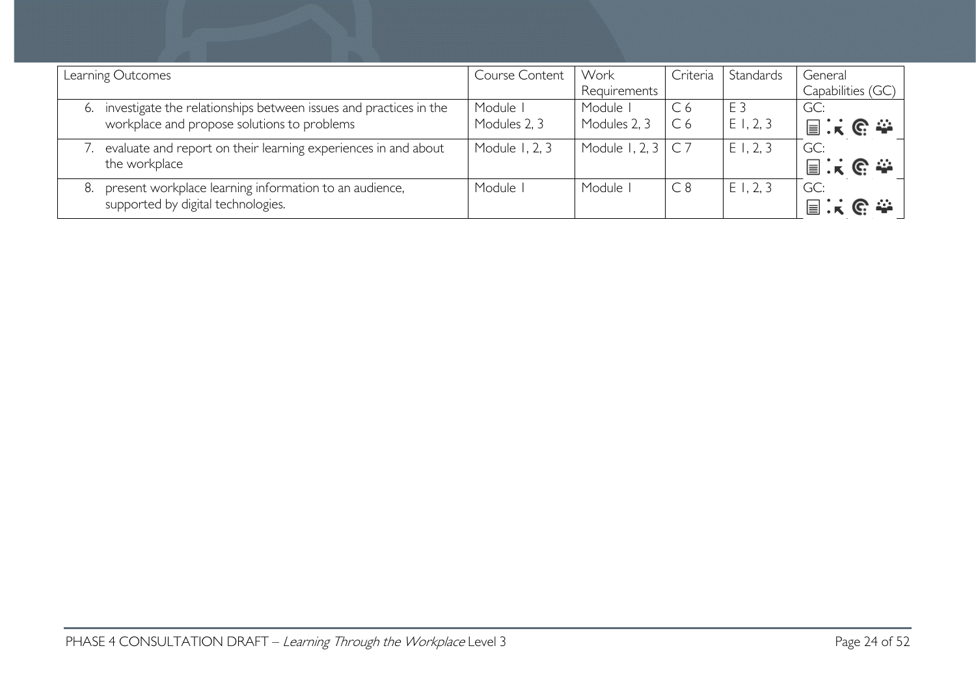| Learning Outcomes                                                                                                      | Course Content           | Work<br>Requirements     | Criteria                         | Standards                  | General<br>Capabilities (GC)          |
|------------------------------------------------------------------------------------------------------------------------|--------------------------|--------------------------|----------------------------------|----------------------------|---------------------------------------|
| investigate the relationships between issues and practices in the<br>6.<br>workplace and propose solutions to problems | Module I<br>Modules 2, 3 | Module I<br>Modules 2, 3 | C <sub>6</sub><br>C <sub>6</sub> | E <sub>3</sub><br>E1, 2, 3 | GC:<br>冒<br>$\mathbb{C} \cong$        |
| evaluate and report on their learning experiences in and about<br>the workplace                                        | Module 1, 2, 3           | Module 1, 2, 3           |                                  | $E$ I, 2, 3                | GC:<br>$\mathbb{C} \cong$<br>$\equiv$ |
| present workplace learning information to an audience,<br>supported by digital technologies.                           | Module I                 | Module I                 | C8                               | $E$ 1, 2, 3                | GC:<br>目                              |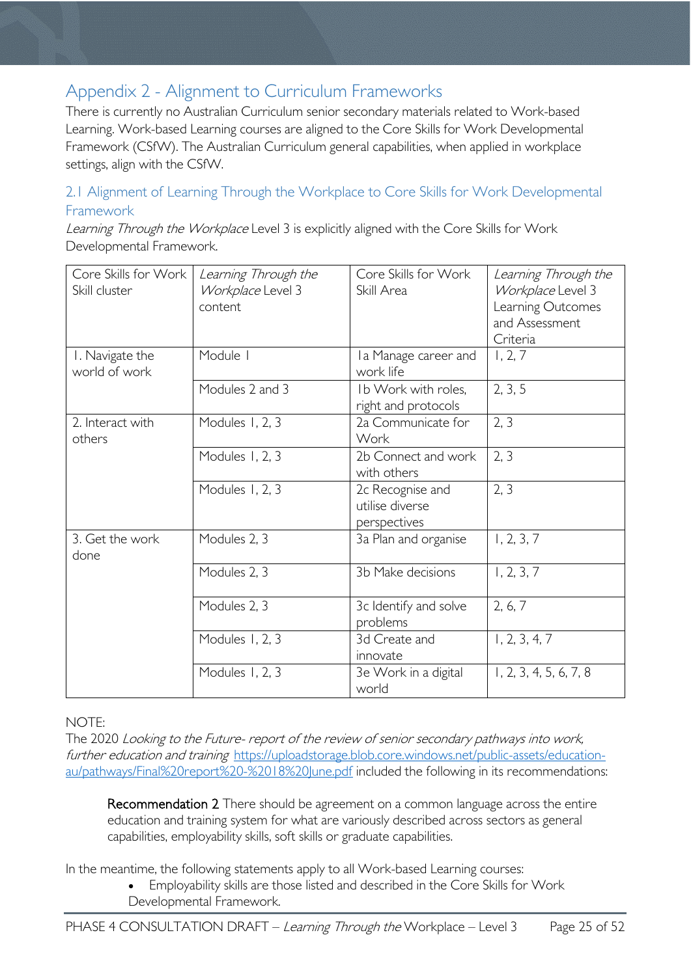# <span id="page-24-0"></span>Appendix 2 - Alignment to Curriculum Frameworks

There is currently no Australian Curriculum senior secondary materials related to Work-based Learning. Work-based Learning courses are aligned to the Core Skills for Work Developmental Framework (CSfW). The Australian Curriculum general capabilities, when applied in workplace settings, align with the CSfW.

## <span id="page-24-1"></span>2.1 Alignment of Learning Through the Workplace to Core Skills for Work Developmental Framework

Learning Through the Workplace Level 3 is explicitly aligned with the Core Skills for Work Developmental Framework.

| Core Skills for Work<br>Skill cluster | Learning Through the<br>Workplace Level 3<br>content | Core Skills for Work<br>Skill Area                  | Learning Through the<br>Workplace Level 3<br>Learning Outcomes<br>and Assessment<br>Criteria |
|---------------------------------------|------------------------------------------------------|-----------------------------------------------------|----------------------------------------------------------------------------------------------|
| I. Navigate the<br>world of work      | Module I                                             | I a Manage career and<br>work life                  | 1, 2, 7                                                                                      |
|                                       | Modules 2 and 3                                      | Ib Work with roles,<br>right and protocols          | 2, 3, 5                                                                                      |
| 2. Interact with<br>others            | Modules 1, 2, 3                                      | 2a Communicate for<br>Work                          | 2, 3                                                                                         |
|                                       | Modules 1, 2, 3                                      | 2b Connect and work<br>with others                  | 2, 3                                                                                         |
|                                       | Modules 1, 2, 3                                      | 2c Recognise and<br>utilise diverse<br>perspectives | 2, 3                                                                                         |
| 3. Get the work<br>done               | Modules 2, 3                                         | 3a Plan and organise                                | 1, 2, 3, 7                                                                                   |
|                                       | Modules 2, 3                                         | 3b Make decisions                                   | 1, 2, 3, 7                                                                                   |
|                                       | Modules 2, 3                                         | 3c Identify and solve<br>problems                   | 2, 6, 7                                                                                      |
|                                       | Modules 1, 2, 3                                      | 3d Create and<br>innovate                           | 1, 2, 3, 4, 7                                                                                |
|                                       | Modules 1, 2, 3                                      | 3e Work in a digital<br>world                       | 1, 2, 3, 4, 5, 6, 7, 8                                                                       |

#### NOTE:

The 2020 Looking to the Future- report of the review of senior secondary pathways into work, further education and training [https://uploadstorage.blob.core.windows.net/public-assets/education](https://uploadstorage.blob.core.windows.net/public-assets/education-au/pathways/Final%20report%20-%2018%20June.pdf)[au/pathways/Final%20report%20-%2018%20June.pdf](https://uploadstorage.blob.core.windows.net/public-assets/education-au/pathways/Final%20report%20-%2018%20June.pdf) included the following in its recommendations:

Recommendation 2 There should be agreement on a common language across the entire education and training system for what are variously described across sectors as general capabilities, employability skills, soft skills or graduate capabilities.

In the meantime, the following statements apply to all Work-based Learning courses:

• Employability skills are those listed and described in the Core Skills for Work Developmental Framework.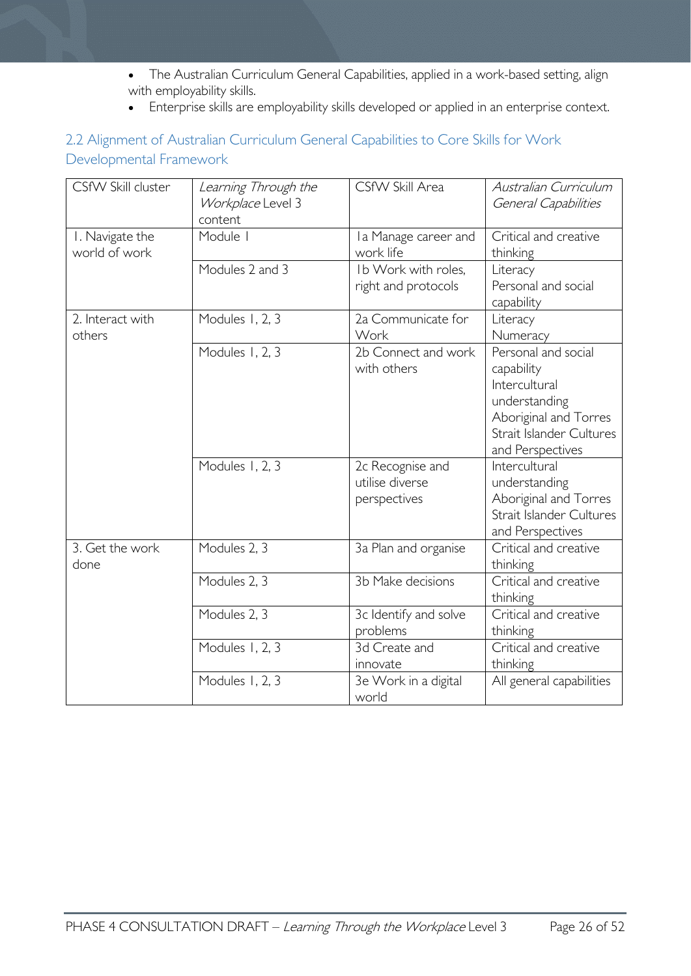- The Australian Curriculum General Capabilities, applied in a work-based setting, align with employability skills.
- Enterprise skills are employability skills developed or applied in an enterprise context.

### 2.2 Alignment of Australian Curriculum General Capabilities to Core Skills for Work Developmental Framework

| CSfW Skill cluster               | Learning Through the<br>Workplace Level 3<br>content | CSfW Skill Area                                     | Australian Curriculum<br>General Capabilities                                                                                                |
|----------------------------------|------------------------------------------------------|-----------------------------------------------------|----------------------------------------------------------------------------------------------------------------------------------------------|
| I. Navigate the<br>world of work | Module I                                             | Ia Manage career and<br>work life                   | Critical and creative<br>thinking                                                                                                            |
|                                  | Modules 2 and 3                                      | Ib Work with roles,<br>right and protocols          | Literacy<br>Personal and social<br>capability                                                                                                |
| 2. Interact with<br>others       | Modules 1, 2, 3                                      | 2a Communicate for<br>Work                          | Literacy<br>Numeracy                                                                                                                         |
|                                  | Modules 1, 2, 3                                      | 2b Connect and work<br>with others                  | Personal and social<br>capability<br>Intercultural<br>understanding<br>Aboriginal and Torres<br>Strait Islander Cultures<br>and Perspectives |
|                                  | Modules 1, 2, 3                                      | 2c Recognise and<br>utilise diverse<br>perspectives | Intercultural<br>understanding<br>Aboriginal and Torres<br>Strait Islander Cultures<br>and Perspectives                                      |
| 3. Get the work<br>done          | Modules 2, 3                                         | 3a Plan and organise                                | Critical and creative<br>thinking                                                                                                            |
|                                  | Modules 2, 3                                         | 3b Make decisions                                   | Critical and creative<br>thinking                                                                                                            |
|                                  | Modules 2, 3                                         | 3c Identify and solve<br>problems                   | Critical and creative<br>thinking                                                                                                            |
|                                  | Modules 1, 2, 3                                      | 3d Create and<br>innovate                           | Critical and creative<br>thinking                                                                                                            |
|                                  | Modules 1, 2, 3                                      | 3e Work in a digital<br>world                       | All general capabilities                                                                                                                     |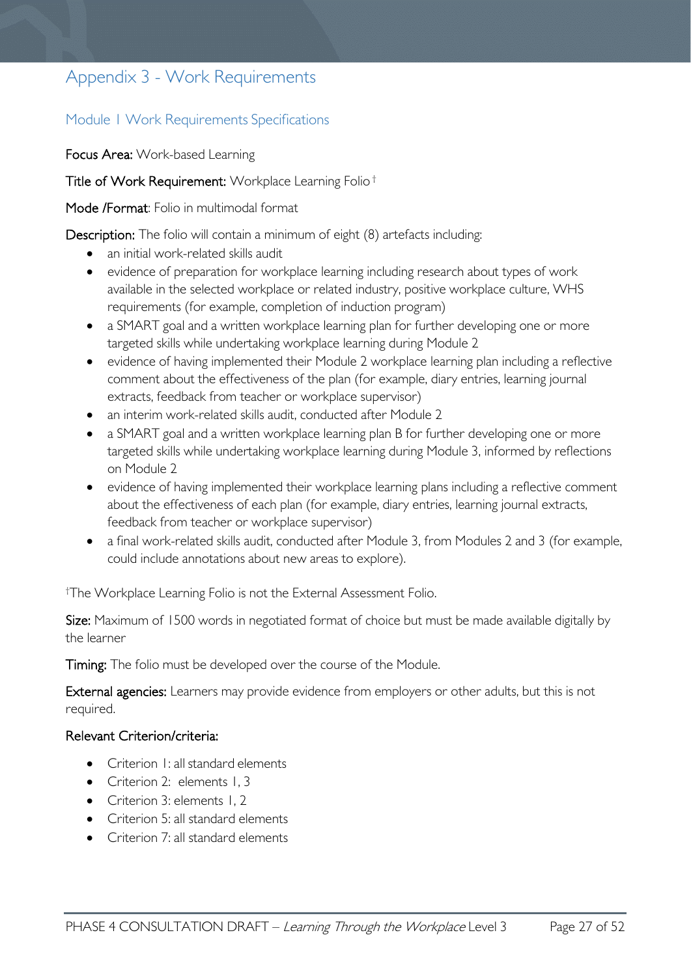# <span id="page-26-0"></span>Appendix 3 - Work Requirements

### <span id="page-26-1"></span>Module 1 Work Requirements Specifications

Focus Area: Work-based Learning

Title of Work Requirement: Workplace Learning Folio †

Mode /Format: Folio in multimodal format

Description: The folio will contain a minimum of eight (8) artefacts including:

- an initial work-related skills audit
- evidence of preparation for workplace learning including research about types of work available in the selected workplace or related industry, positive workplace culture, WHS requirements (for example, completion of induction program)
- a SMART goal and a written workplace learning plan for further developing one or more targeted skills while undertaking workplace learning during Module 2
- evidence of having implemented their Module 2 workplace learning plan including a reflective comment about the effectiveness of the plan (for example, diary entries, learning journal extracts, feedback from teacher or workplace supervisor)
- an interim work-related skills audit, conducted after Module 2
- a SMART goal and a written workplace learning plan B for further developing one or more targeted skills while undertaking workplace learning during Module 3, informed by reflections on Module 2
- evidence of having implemented their workplace learning plans including a reflective comment about the effectiveness of each plan (for example, diary entries, learning journal extracts, feedback from teacher or workplace supervisor)
- a final work-related skills audit, conducted after Module 3, from Modules 2 and 3 (for example, could include annotations about new areas to explore).

† The Workplace Learning Folio is not the External Assessment Folio.

Size: Maximum of 1500 words in negotiated format of choice but must be made available digitally by the learner

Timing: The folio must be developed over the course of the Module.

External agencies: Learners may provide evidence from employers or other adults, but this is not required.

#### Relevant Criterion/criteria:

- Criterion I: all standard elements
- Criterion 2: elements 1, 3
- Criterion 3: elements 1, 2
- Criterion 5: all standard elements
- Criterion 7: all standard elements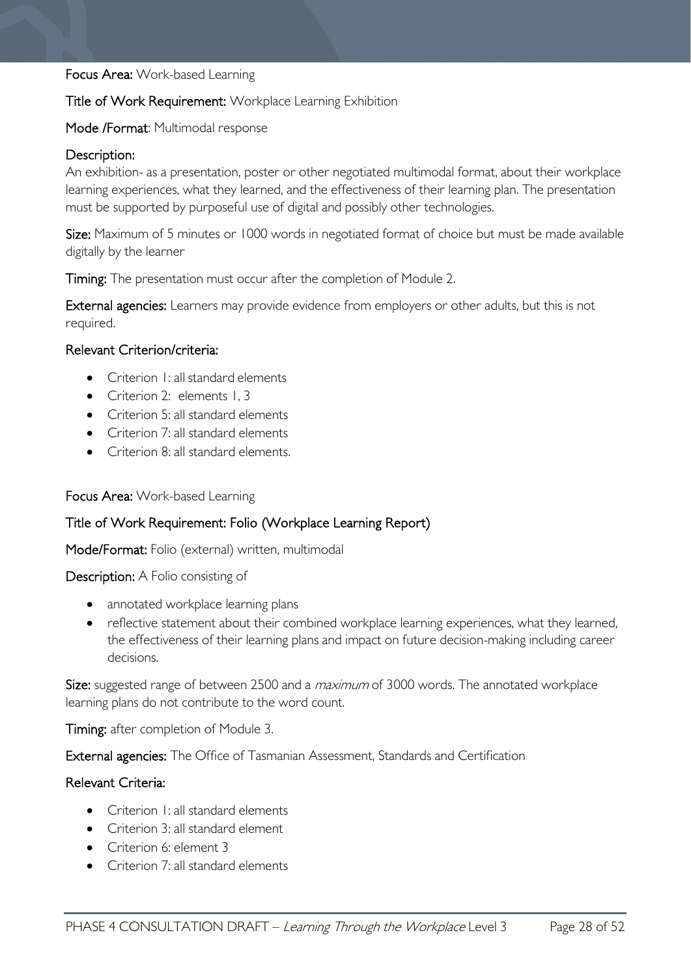#### Focus Area: Work-based Learning

#### Title of Work Requirement: Workplace Learning Exhibition

#### Mode /Format: Multimodal response

#### Description:

An exhibition- as a presentation, poster or other negotiated multimodal format, about their workplace learning experiences, what they learned, and the effectiveness of their learning plan. The presentation must be supported by purposeful use of digital and possibly other technologies.

Size: Maximum of 5 minutes or 1000 words in negotiated format of choice but must be made available digitally by the learner

Timing: The presentation must occur after the completion of Module 2.

External agencies: Learners may provide evidence from employers or other adults, but this is not required.

#### Relevant Criterion/criteria:

- Criterion 1: all standard elements
- Criterion 2: elements 1, 3
- Criterion 5: all standard elements
- Criterion 7: all standard elements
- Criterion 8: all standard elements.

#### Focus Area: Work-based Learning

#### Title of Work Requirement: Folio (Workplace Learning Report)

Mode/Format: Folio (external) written, multimodal

Description: A Folio consisting of

- annotated workplace learning plans
- reflective statement about their combined workplace learning experiences, what they learned, the effectiveness of their learning plans and impact on future decision-making including career decisions.

Size: suggested range of between 2500 and a *maximum* of 3000 words. The annotated workplace learning plans do not contribute to the word count.

Timing: after completion of Module 3.

External agencies: The Office of Tasmanian Assessment, Standards and Certification

#### Relevant Criteria:

- Criterion 1: all standard elements
- Criterion 3: all standard element
- Criterion 6: element 3
- Criterion 7: all standard elements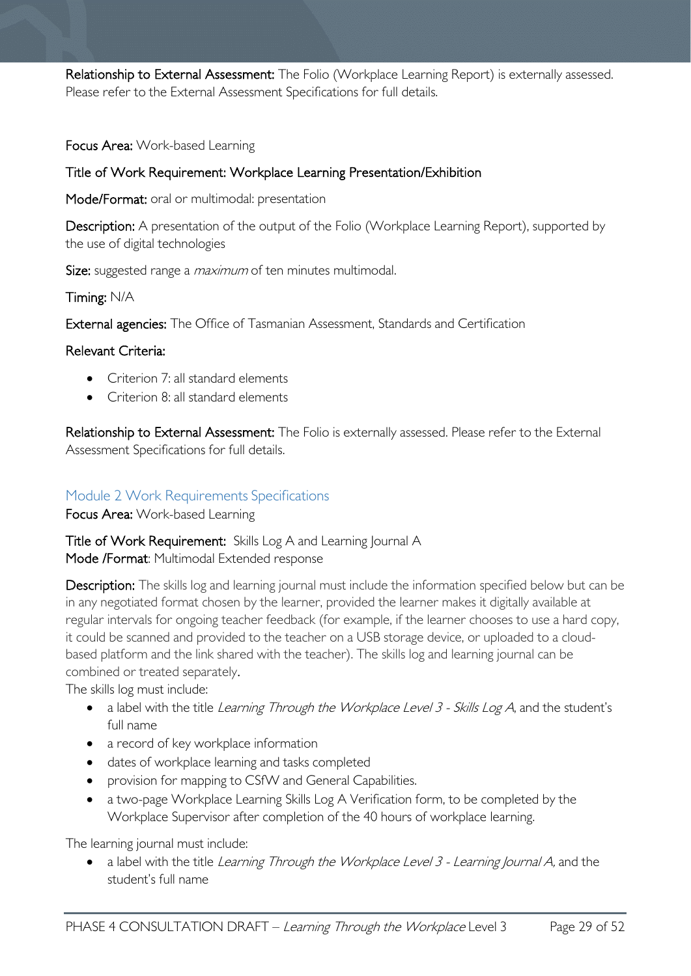Relationship to External Assessment: The Folio (Workplace Learning Report) is externally assessed. Please refer to the External Assessment Specifications for full details.

Focus Area: Work-based Learning

#### Title of Work Requirement: Workplace Learning Presentation/Exhibition

Mode/Format: oral or multimodal: presentation

Description: A presentation of the output of the Folio (Workplace Learning Report), supported by the use of digital technologies

Size: suggested range a *maximum* of ten minutes multimodal.

Timing: N/A

External agencies: The Office of Tasmanian Assessment, Standards and Certification

#### Relevant Criteria:

- Criterion 7: all standard elements
- Criterion 8: all standard elements

Relationship to External Assessment: The Folio is externally assessed. Please refer to the External Assessment Specifications for full details.

#### <span id="page-28-0"></span>Module 2 Work Requirements Specifications

Focus Area: Work-based Learning

Title of Work Requirement: Skills Log A and Learning Journal A Mode /Format: Multimodal Extended response

Description: The skills log and learning journal must include the information specified below but can be in any negotiated format chosen by the learner, provided the learner makes it digitally available at regular intervals for ongoing teacher feedback (for example, if the learner chooses to use a hard copy, it could be scanned and provided to the teacher on a USB storage device, or uploaded to a cloudbased platform and the link shared with the teacher). The skills log and learning journal can be combined or treated separately.

The skills log must include:

- a label with the title Learning Through the Workplace Level 3 Skills Log A, and the student's full name
- a record of key workplace information
- dates of workplace learning and tasks completed
- provision for mapping to CSfW and General Capabilities.
- a two-page Workplace Learning Skills Log A Verification form, to be completed by the Workplace Supervisor after completion of the 40 hours of workplace learning.

The learning journal must include:

• a label with the title Learning Through the Workplace Level 3 - Learning Journal A, and the student's full name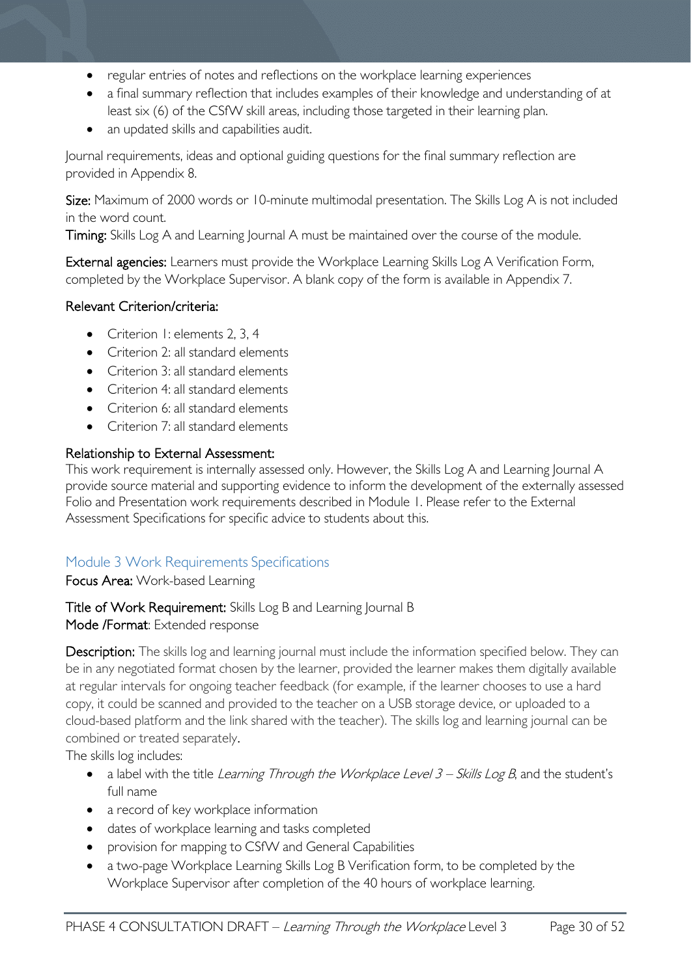- regular entries of notes and reflections on the workplace learning experiences
- a final summary reflection that includes examples of their knowledge and understanding of at least six (6) of the CSfW skill areas, including those targeted in their learning plan.
- an updated skills and capabilities audit.

Journal requirements, ideas and optional guiding questions for the final summary reflection are provided in Appendix 8.

Size: Maximum of 2000 words or 10-minute multimodal presentation. The Skills Log A is not included in the word count.

Timing: Skills Log A and Learning Journal A must be maintained over the course of the module.

External agencies: Learners must provide the Workplace Learning Skills Log A Verification Form, completed by the Workplace Supervisor. A blank copy of the form is available in Appendix 7.

### Relevant Criterion/criteria:

- Criterion I: elements 2, 3, 4
- Criterion 2: all standard elements
- Criterion 3: all standard elements
- Criterion 4: all standard elements
- Criterion 6: all standard elements
- Criterion 7: all standard elements

#### Relationship to External Assessment:

This work requirement is internally assessed only. However, the Skills Log A and Learning Journal A provide source material and supporting evidence to inform the development of the externally assessed Folio and Presentation work requirements described in Module 1. Please refer to the External Assessment Specifications for specific advice to students about this.

## <span id="page-29-0"></span>Module 3 Work Requirements Specifications

Focus Area: Work-based Learning

#### Title of Work Requirement: Skills Log B and Learning Journal B Mode /Format: Extended response

Description: The skills log and learning journal must include the information specified below. They can be in any negotiated format chosen by the learner, provided the learner makes them digitally available at regular intervals for ongoing teacher feedback (for example, if the learner chooses to use a hard copy, it could be scanned and provided to the teacher on a USB storage device, or uploaded to a cloud-based platform and the link shared with the teacher). The skills log and learning journal can be combined or treated separately.

The skills log includes:

- a label with the title Learning Through the Workplace Level  $3 -$  Skills Log B, and the student's full name
- a record of key workplace information
- dates of workplace learning and tasks completed
- provision for mapping to CSfW and General Capabilities
- a two-page Workplace Learning Skills Log B Verification form, to be completed by the Workplace Supervisor after completion of the 40 hours of workplace learning.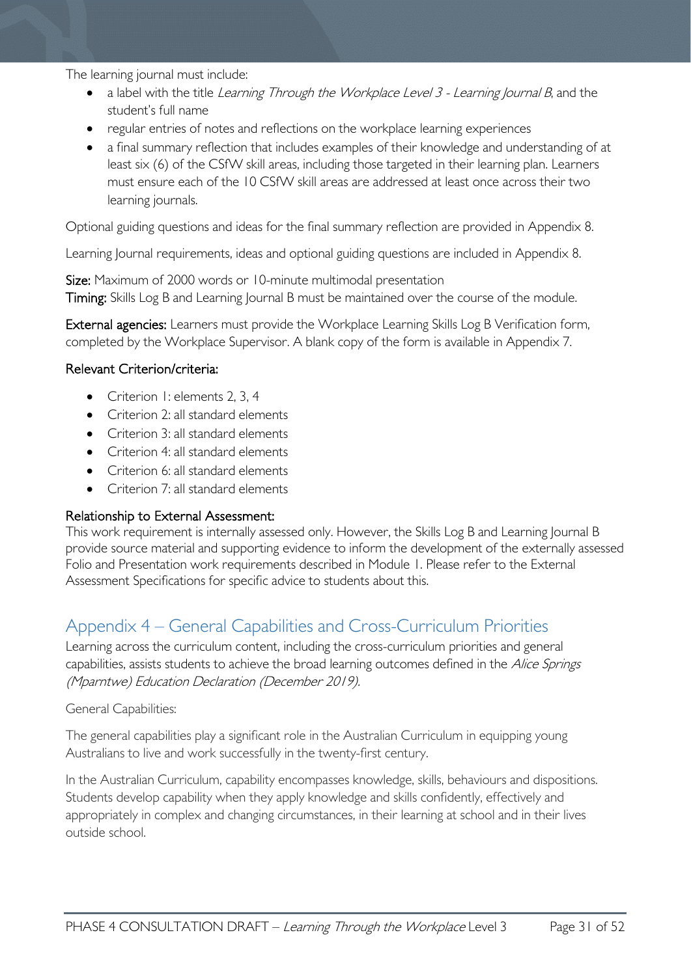The learning journal must include:

- a label with the title Learning Through the Workplace Level 3 Learning Journal B, and the student's full name
- regular entries of notes and reflections on the workplace learning experiences
- a final summary reflection that includes examples of their knowledge and understanding of at least six (6) of the CSfW skill areas, including those targeted in their learning plan. Learners must ensure each of the 10 CSfW skill areas are addressed at least once across their two learning journals.

Optional guiding questions and ideas for the final summary reflection are provided in Appendix 8.

Learning Journal requirements, ideas and optional guiding questions are included in Appendix 8.

Size: Maximum of 2000 words or 10-minute multimodal presentation Timing: Skills Log B and Learning Journal B must be maintained over the course of the module.

External agencies: Learners must provide the Workplace Learning Skills Log B Verification form, completed by the Workplace Supervisor. A blank copy of the form is available in Appendix 7.

#### Relevant Criterion/criteria:

- Criterion I: elements 2, 3, 4
- Criterion 2: all standard elements
- Criterion 3: all standard elements
- Criterion 4: all standard elements
- Criterion 6: all standard elements
- Criterion 7: all standard elements

#### Relationship to External Assessment:

This work requirement is internally assessed only. However, the Skills Log B and Learning Journal B provide source material and supporting evidence to inform the development of the externally assessed Folio and Presentation work requirements described in Module 1. Please refer to the External Assessment Specifications for specific advice to students about this.

# <span id="page-30-0"></span>Appendix 4 – General Capabilities and Cross-Curriculum Priorities

Learning across the curriculum content, including the cross-curriculum priorities and general capabilities, assists students to achieve the broad learning outcomes defined in the Alice Springs (Mparntwe) Education Declaration (December 2019).

#### General Capabilities:

The general capabilities play a significant role in the Australian Curriculum in equipping young Australians to live and work successfully in the twenty-first century.

In the Australian Curriculum, capability encompasses knowledge, skills, behaviours and dispositions. Students develop capability when they apply knowledge and skills confidently, effectively and appropriately in complex and changing circumstances, in their learning at school and in their lives outside school.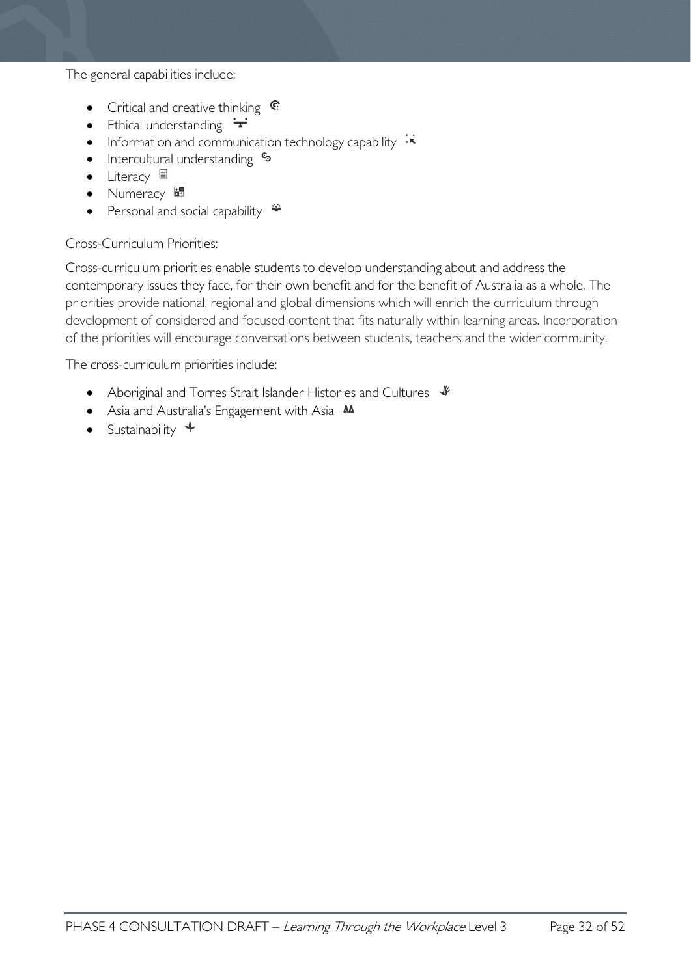The general capabilities include:

- Critical and creative thinking  $\mathbb{C}$
- Ethical understanding  $\div$
- Information and communication technology capability  $\cdot\overline{\star}$
- Intercultural understanding  $e_3$
- Literacy
- Numeracy
- Personal and social capability

#### Cross-Curriculum Priorities:

Cross-curriculum priorities enable students to develop understanding about and address the contemporary issues they face, for their own benefit and for the benefit of Australia as a whole. The priorities provide national, regional and global dimensions which will enrich the curriculum through development of considered and focused content that fits naturally within learning areas. Incorporation of the priorities will encourage conversations between students, teachers and the wider community.

The cross-curriculum priorities include:

- Aboriginal and Torres Strait Islander Histories and Cultures  $\frac{1}{2}$
- Asia and Australia's Engagement with Asia **AA**
- Sustainability  $\triangleleft$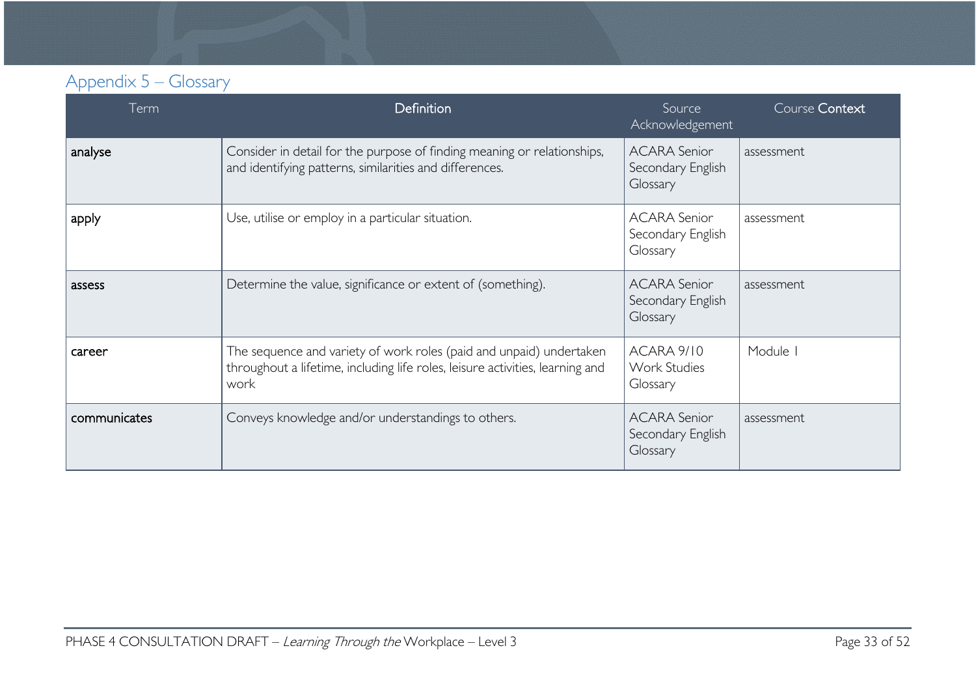# Appendix 5 – Glossary

<span id="page-32-0"></span>

| Term         | <b>Definition</b>                                                                                                                                            | Source<br>Acknowledgement                            | Course Context |
|--------------|--------------------------------------------------------------------------------------------------------------------------------------------------------------|------------------------------------------------------|----------------|
| analyse      | Consider in detail for the purpose of finding meaning or relationships,<br>and identifying patterns, similarities and differences.                           | <b>ACARA Senior</b><br>Secondary English<br>Glossary | assessment     |
| apply        | Use, utilise or employ in a particular situation.                                                                                                            | <b>ACARA Senior</b><br>Secondary English<br>Glossary | assessment     |
| assess       | Determine the value, significance or extent of (something).                                                                                                  | <b>ACARA Senior</b><br>Secondary English<br>Glossary | assessment     |
| career       | The sequence and variety of work roles (paid and unpaid) undertaken<br>throughout a lifetime, including life roles, leisure activities, learning and<br>work | ACARA 9/10<br><b>Work Studies</b><br>Glossary        | Module         |
| communicates | Conveys knowledge and/or understandings to others.                                                                                                           | <b>ACARA Senior</b><br>Secondary English<br>Glossary | assessment     |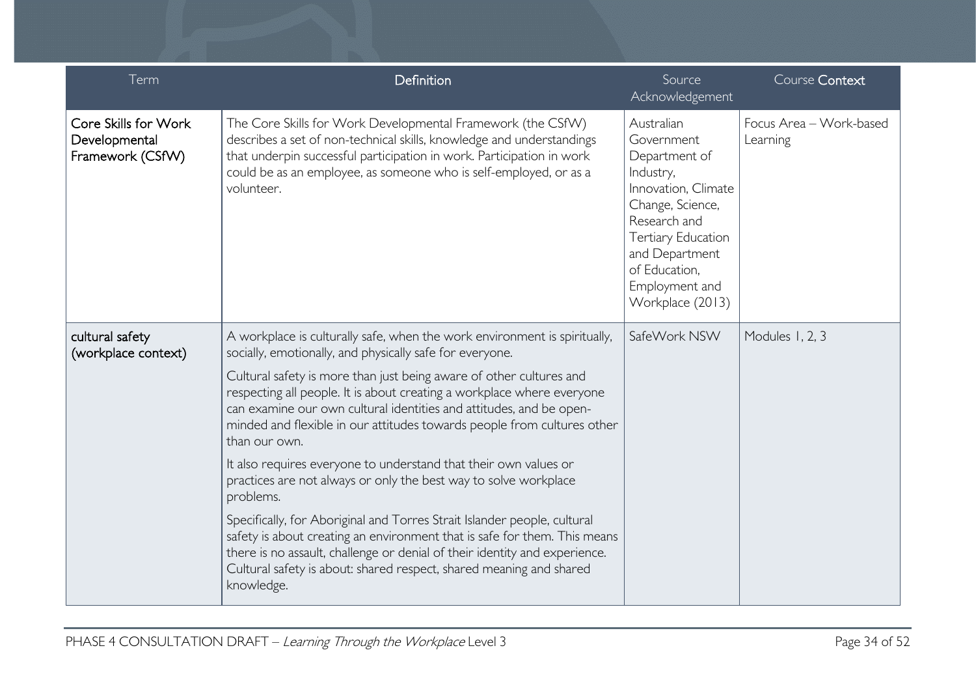| Term                                                      | Definition                                                                                                                                                                                                                                                                                                                                                                                                                                                                                                                                                                                                                                                                                                                                                                                                                                                                                                                                 | Source<br>Acknowledgement                                                                                                                                                                                               | Course Context                      |
|-----------------------------------------------------------|--------------------------------------------------------------------------------------------------------------------------------------------------------------------------------------------------------------------------------------------------------------------------------------------------------------------------------------------------------------------------------------------------------------------------------------------------------------------------------------------------------------------------------------------------------------------------------------------------------------------------------------------------------------------------------------------------------------------------------------------------------------------------------------------------------------------------------------------------------------------------------------------------------------------------------------------|-------------------------------------------------------------------------------------------------------------------------------------------------------------------------------------------------------------------------|-------------------------------------|
| Core Skills for Work<br>Developmental<br>Framework (CSfW) | The Core Skills for Work Developmental Framework (the CSfW)<br>describes a set of non-technical skills, knowledge and understandings<br>that underpin successful participation in work. Participation in work<br>could be as an employee, as someone who is self-employed, or as a<br>volunteer.                                                                                                                                                                                                                                                                                                                                                                                                                                                                                                                                                                                                                                           | Australian<br>Government<br>Department of<br>Industry,<br>Innovation, Climate<br>Change, Science,<br>Research and<br><b>Tertiary Education</b><br>and Department<br>of Education,<br>Employment and<br>Workplace (2013) | Focus Area - Work-based<br>Learning |
| cultural safety<br>(workplace context)                    | A workplace is culturally safe, when the work environment is spiritually,<br>socially, emotionally, and physically safe for everyone.<br>Cultural safety is more than just being aware of other cultures and<br>respecting all people. It is about creating a workplace where everyone<br>can examine our own cultural identities and attitudes, and be open-<br>minded and flexible in our attitudes towards people from cultures other<br>than our own.<br>It also requires everyone to understand that their own values or<br>practices are not always or only the best way to solve workplace<br>problems.<br>Specifically, for Aboriginal and Torres Strait Islander people, cultural<br>safety is about creating an environment that is safe for them. This means<br>there is no assault, challenge or denial of their identity and experience.<br>Cultural safety is about: shared respect, shared meaning and shared<br>knowledge. | SafeWork NSW                                                                                                                                                                                                            | Modules 1, 2, 3                     |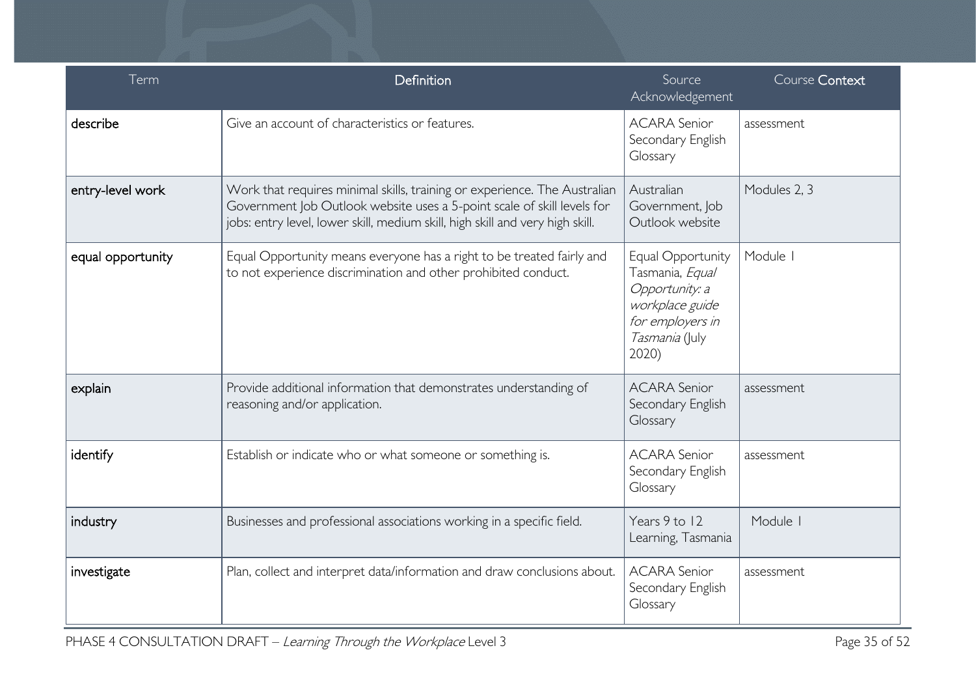| Term              | Definition                                                                                                                                                                                                                            | Source<br>Acknowledgement                                                                                                | Course Context |
|-------------------|---------------------------------------------------------------------------------------------------------------------------------------------------------------------------------------------------------------------------------------|--------------------------------------------------------------------------------------------------------------------------|----------------|
| describe          | Give an account of characteristics or features.                                                                                                                                                                                       | <b>ACARA Senior</b><br>Secondary English<br>Glossary                                                                     | assessment     |
| entry-level work  | Work that requires minimal skills, training or experience. The Australian<br>Government Job Outlook website uses a 5-point scale of skill levels for<br>jobs: entry level, lower skill, medium skill, high skill and very high skill. | Australian<br>Government, Job<br>Outlook website                                                                         | Modules 2, 3   |
| equal opportunity | Equal Opportunity means everyone has a right to be treated fairly and<br>to not experience discrimination and other prohibited conduct.                                                                                               | Equal Opportunity<br>Tasmania, Equal<br>Opportunity: a<br>workplace guide<br>for employers in<br>Tasmania (July<br>2020) | Module I       |
| explain           | Provide additional information that demonstrates understanding of<br>reasoning and/or application.                                                                                                                                    | <b>ACARA Senior</b><br>Secondary English<br>Glossary                                                                     | assessment     |
| identify          | Establish or indicate who or what someone or something is.                                                                                                                                                                            | <b>ACARA Senior</b><br>Secondary English<br>Glossary                                                                     | assessment     |
| industry          | Businesses and professional associations working in a specific field.                                                                                                                                                                 | Years 9 to 12<br>Learning, Tasmania                                                                                      | Module         |
| investigate       | Plan, collect and interpret data/information and draw conclusions about.                                                                                                                                                              | <b>ACARA Senior</b><br>Secondary English<br>Glossary                                                                     | assessment     |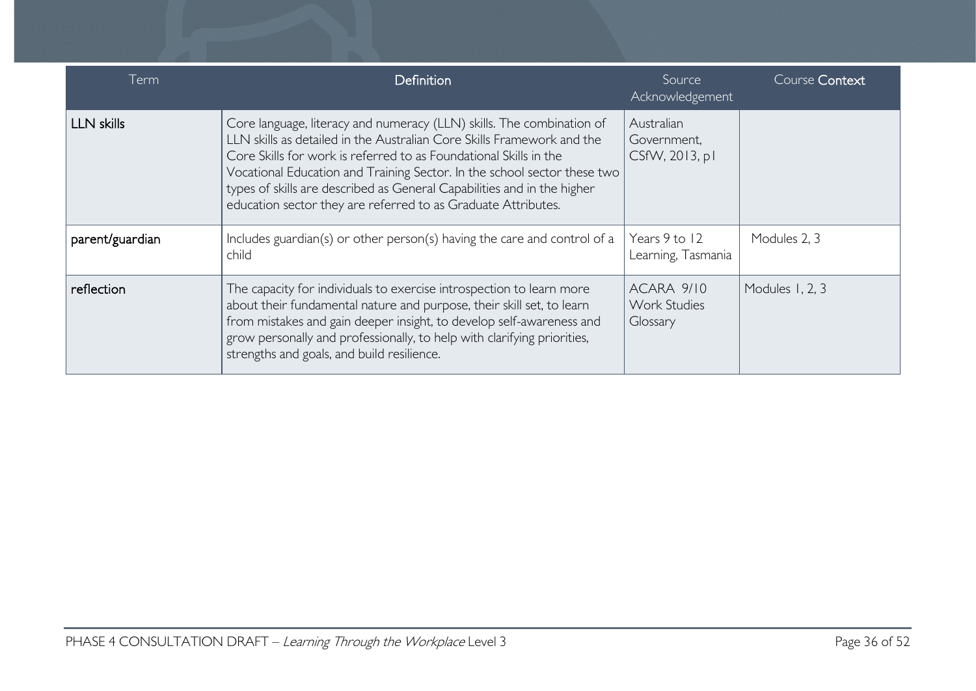| Term              | Definition                                                                                                                                                                                                                                                                                                                                                                                                                                   | Source<br>Acknowledgement                     | Course Context  |
|-------------------|----------------------------------------------------------------------------------------------------------------------------------------------------------------------------------------------------------------------------------------------------------------------------------------------------------------------------------------------------------------------------------------------------------------------------------------------|-----------------------------------------------|-----------------|
| <b>LLN skills</b> | Core language, literacy and numeracy (LLN) skills. The combination of<br>LLN skills as detailed in the Australian Core Skills Framework and the<br>Core Skills for work is referred to as Foundational Skills in the<br>Vocational Education and Training Sector. In the school sector these two<br>types of skills are described as General Capabilities and in the higher<br>education sector they are referred to as Graduate Attributes. | Australian<br>Government,<br>CSfW, 2013, pl   |                 |
| parent/guardian   | Includes guardian(s) or other person(s) having the care and control of a<br>child                                                                                                                                                                                                                                                                                                                                                            | Years 9 to 12<br>Learning, Tasmania           | Modules 2, 3    |
| reflection        | The capacity for individuals to exercise introspection to learn more<br>about their fundamental nature and purpose, their skill set, to learn<br>from mistakes and gain deeper insight, to develop self-awareness and<br>grow personally and professionally, to help with clarifying priorities,<br>strengths and goals, and build resilience.                                                                                               | ACARA 9/10<br><b>Work Studies</b><br>Glossary | Modules 1, 2, 3 |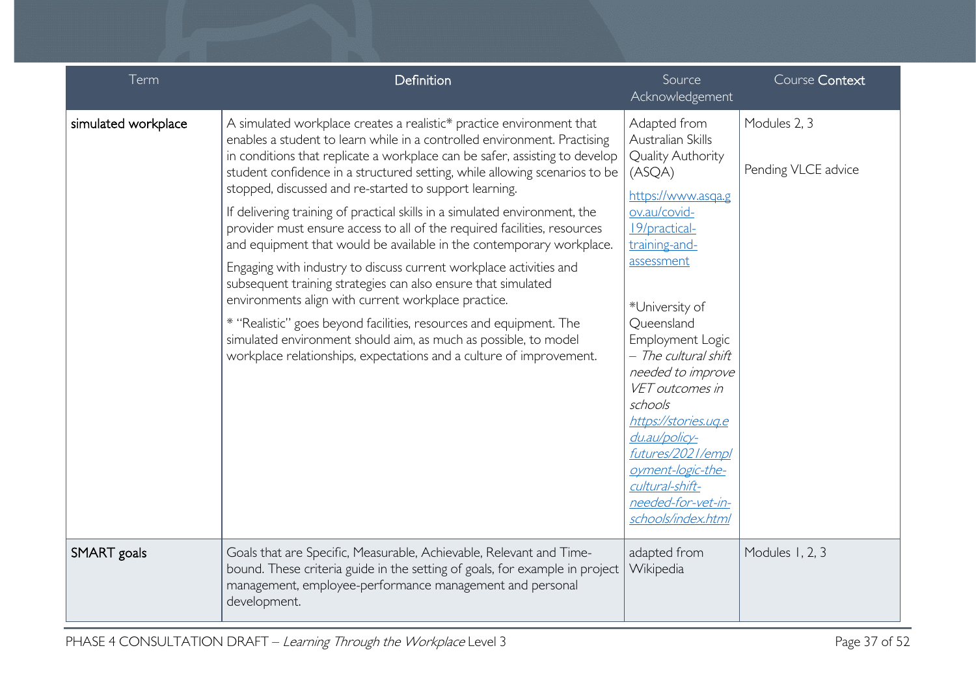| Term                | Definition                                                                                                                                                                                                                                                                                                                                                                                                                                                                                                                                                                                                                                                                                                                                                                                                                                                                                                                                                                                                              | Source<br>Acknowledgement                                                                                                                                                                                                                                                                                                                                                                                                                      | Course Context                      |
|---------------------|-------------------------------------------------------------------------------------------------------------------------------------------------------------------------------------------------------------------------------------------------------------------------------------------------------------------------------------------------------------------------------------------------------------------------------------------------------------------------------------------------------------------------------------------------------------------------------------------------------------------------------------------------------------------------------------------------------------------------------------------------------------------------------------------------------------------------------------------------------------------------------------------------------------------------------------------------------------------------------------------------------------------------|------------------------------------------------------------------------------------------------------------------------------------------------------------------------------------------------------------------------------------------------------------------------------------------------------------------------------------------------------------------------------------------------------------------------------------------------|-------------------------------------|
| simulated workplace | A simulated workplace creates a realistic* practice environment that<br>enables a student to learn while in a controlled environment. Practising<br>in conditions that replicate a workplace can be safer, assisting to develop<br>student confidence in a structured setting, while allowing scenarios to be<br>stopped, discussed and re-started to support learning.<br>If delivering training of practical skills in a simulated environment, the<br>provider must ensure access to all of the required facilities, resources<br>and equipment that would be available in the contemporary workplace.<br>Engaging with industry to discuss current workplace activities and<br>subsequent training strategies can also ensure that simulated<br>environments align with current workplace practice.<br>* "Realistic" goes beyond facilities, resources and equipment. The<br>simulated environment should aim, as much as possible, to model<br>workplace relationships, expectations and a culture of improvement. | Adapted from<br>Australian Skills<br><b>Quality Authority</b><br>(ASQA)<br>https://www.asqa.g<br>ov.au/covid-<br>19/practical-<br>training-and-<br>assessment<br>*University of<br>Queensland<br>Employment Logic<br>- The cultural shift<br>needed to improve<br>VET outcomes in<br>schools<br>https://stories.ug.e<br>du.au/policy-<br>futures/2021/empl<br>oyment-logic-the-<br>cultural-shift-<br>needed-for-vet-in-<br>schools/index.html | Modules 2, 3<br>Pending VLCE advice |
| SMART goals         | Goals that are Specific, Measurable, Achievable, Relevant and Time-<br>bound. These criteria guide in the setting of goals, for example in project<br>management, employee-performance management and personal<br>development.                                                                                                                                                                                                                                                                                                                                                                                                                                                                                                                                                                                                                                                                                                                                                                                          | adapted from<br>Wikipedia                                                                                                                                                                                                                                                                                                                                                                                                                      | Modules 1, 2, 3                     |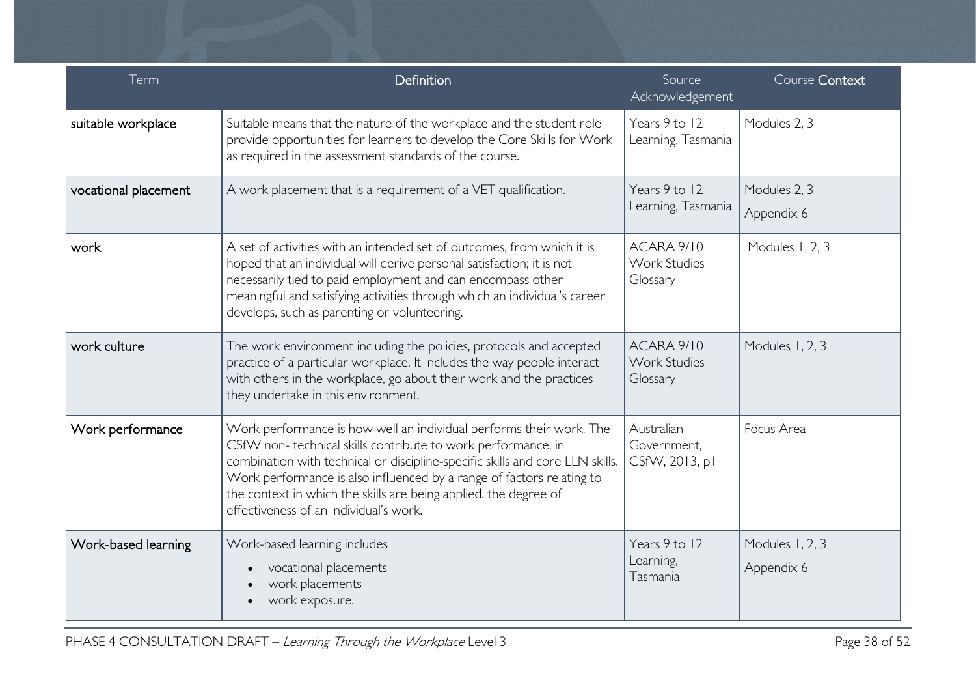| Term                 | Definition                                                                                                                                                                                                                                                                                                                                                                                                                                                               | Source<br>Acknowledgement                                         | Course Context                |  |
|----------------------|--------------------------------------------------------------------------------------------------------------------------------------------------------------------------------------------------------------------------------------------------------------------------------------------------------------------------------------------------------------------------------------------------------------------------------------------------------------------------|-------------------------------------------------------------------|-------------------------------|--|
| suitable workplace   | Suitable means that the nature of the workplace and the student role<br>provide opportunities for learners to develop the Core Skills for Work<br>as required in the assessment standards of the course.                                                                                                                                                                                                                                                                 | Years 9 to 12<br>Learning, Tasmania                               | Modules 2, 3                  |  |
| vocational placement | A work placement that is a requirement of a VET qualification.                                                                                                                                                                                                                                                                                                                                                                                                           | Years 9 to 12<br>Modules 2, 3<br>Learning, Tasmania<br>Appendix 6 |                               |  |
| work                 | A set of activities with an intended set of outcomes, from which it is<br>hoped that an individual will derive personal satisfaction; it is not<br>necessarily tied to paid employment and can encompass other<br>meaningful and satisfying activities through which an individual's career<br>develops, such as parenting or volunteering.                                                                                                                              | Modules 1, 2, 3<br>ACARA 9/10<br><b>Work Studies</b><br>Glossary  |                               |  |
| work culture         | The work environment including the policies, protocols and accepted<br>practice of a particular workplace. It includes the way people interact<br>with others in the workplace, go about their work and the practices<br>they undertake in this environment.                                                                                                                                                                                                             | ACARA 9/10<br><b>Work Studies</b><br>Glossary                     | Modules 1, 2, 3               |  |
| Work performance     | Australian<br>Focus Area<br>Work performance is how well an individual performs their work. The<br>CSfW non-technical skills contribute to work performance, in<br>Government,<br>combination with technical or discipline-specific skills and core LLN skills.<br>CSfW, 2013, pl<br>Work performance is also influenced by a range of factors relating to<br>the context in which the skills are being applied. the degree of<br>effectiveness of an individual's work. |                                                                   |                               |  |
| Work-based learning  | Work-based learning includes<br>vocational placements<br>work placements<br>work exposure.                                                                                                                                                                                                                                                                                                                                                                               | Years 9 to 12<br>Learning,<br>Tasmania                            | Modules 1, 2, 3<br>Appendix 6 |  |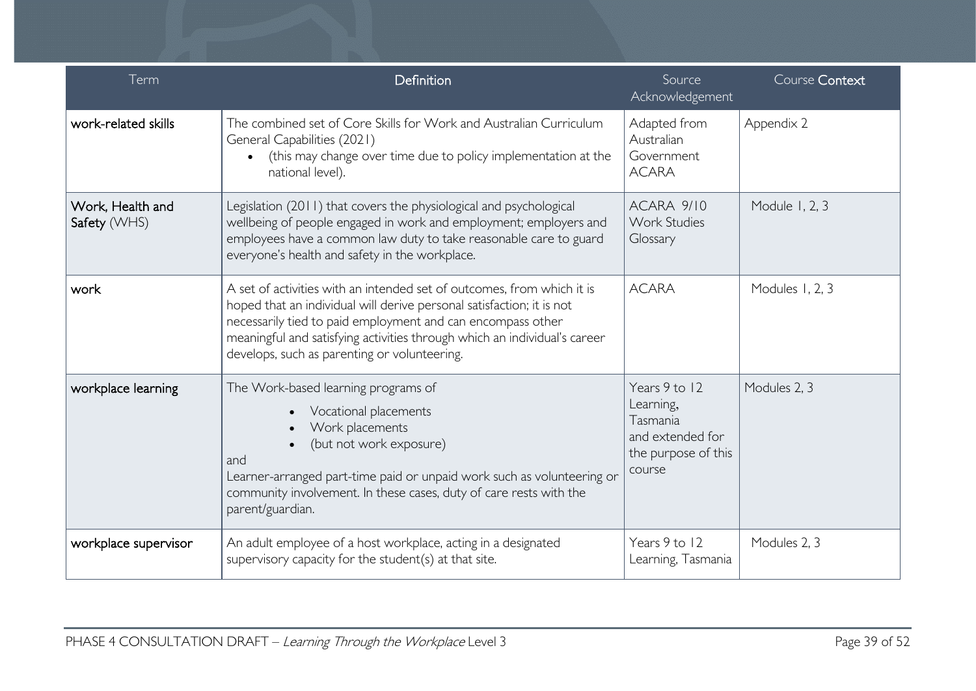| Term                             | Definition                                                                                                                                                                                                                                                                                                                                                                                           | Source<br>Acknowledgement                                | Course Context |  |
|----------------------------------|------------------------------------------------------------------------------------------------------------------------------------------------------------------------------------------------------------------------------------------------------------------------------------------------------------------------------------------------------------------------------------------------------|----------------------------------------------------------|----------------|--|
| work-related skills              | The combined set of Core Skills for Work and Australian Curriculum<br>General Capabilities (2021)<br>(this may change over time due to policy implementation at the<br>national level).                                                                                                                                                                                                              | Adapted from<br>Australian<br>Government<br><b>ACARA</b> | Appendix 2     |  |
| Work, Health and<br>Safety (WHS) | Legislation (2011) that covers the physiological and psychological<br>wellbeing of people engaged in work and employment; employers and<br>employees have a common law duty to take reasonable care to guard<br>everyone's health and safety in the workplace.                                                                                                                                       | ACARA 9/10<br><b>Work Studies</b><br>Glossary            | Module 1, 2, 3 |  |
| work                             | A set of activities with an intended set of outcomes, from which it is<br>hoped that an individual will derive personal satisfaction; it is not<br>necessarily tied to paid employment and can encompass other<br>meaningful and satisfying activities through which an individual's career<br>develops, such as parenting or volunteering.                                                          | <b>ACARA</b><br>Modules 1, 2, 3                          |                |  |
| workplace learning               | Years 9 to 12<br>The Work-based learning programs of<br>Modules 2, 3<br>Learning,<br>Vocational placements<br>Tasmania<br>Work placements<br>and extended for<br>(but not work exposure)<br>the purpose of this<br>and<br>course<br>Learner-arranged part-time paid or unpaid work such as volunteering or<br>community involvement. In these cases, duty of care rests with the<br>parent/guardian. |                                                          |                |  |
| workplace supervisor             | An adult employee of a host workplace, acting in a designated<br>supervisory capacity for the student(s) at that site.                                                                                                                                                                                                                                                                               | Years 9 to 12<br>Learning, Tasmania                      | Modules 2, 3   |  |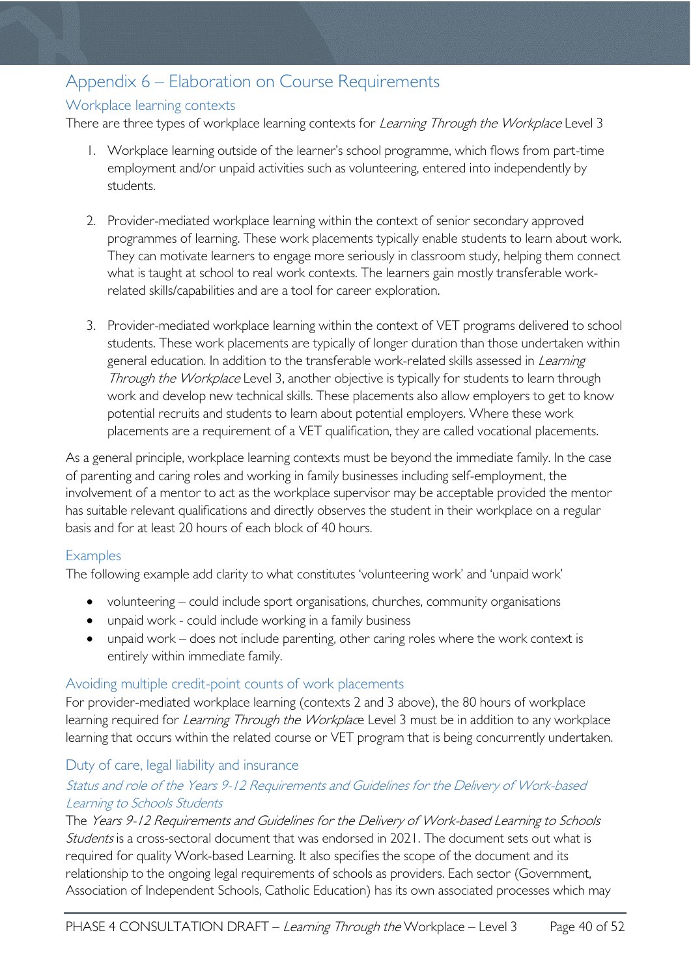# <span id="page-39-0"></span>Appendix 6 – Elaboration on Course Requirements

### <span id="page-39-1"></span>Workplace learning contexts

There are three types of workplace learning contexts for Learning Through the Workplace Level 3

- 1. Workplace learning outside of the learner's school programme, which flows from part-time employment and/or unpaid activities such as volunteering, entered into independently by students.
- 2. Provider-mediated workplace learning within the context of senior secondary approved programmes of learning. These work placements typically enable students to learn about work. They can motivate learners to engage more seriously in classroom study, helping them connect what is taught at school to real work contexts. The learners gain mostly transferable workrelated skills/capabilities and are a tool for career exploration.
- 3. Provider-mediated workplace learning within the context of VET programs delivered to school students. These work placements are typically of longer duration than those undertaken within general education. In addition to the transferable work-related skills assessed in *Learning* Through the Workplace Level 3, another objective is typically for students to learn through work and develop new technical skills. These placements also allow employers to get to know potential recruits and students to learn about potential employers. Where these work placements are a requirement of a VET qualification, they are called vocational placements.

As a general principle, workplace learning contexts must be beyond the immediate family. In the case of parenting and caring roles and working in family businesses including self-employment, the involvement of a mentor to act as the workplace supervisor may be acceptable provided the mentor has suitable relevant qualifications and directly observes the student in their workplace on a regular basis and for at least 20 hours of each block of 40 hours.

#### <span id="page-39-2"></span>**Examples**

The following example add clarity to what constitutes 'volunteering work' and 'unpaid work'

- volunteering could include sport organisations, churches, community organisations
- unpaid work could include working in a family business
- unpaid work does not include parenting, other caring roles where the work context is entirely within immediate family.

#### <span id="page-39-3"></span>Avoiding multiple credit-point counts of work placements

For provider-mediated workplace learning (contexts 2 and 3 above), the 80 hours of workplace learning required for Learning Through the Workplace Level 3 must be in addition to any workplace learning that occurs within the related course or VET program that is being concurrently undertaken.

#### <span id="page-39-4"></span>Duty of care, legal liability and insurance

#### Status and role of the Years 9-12 Requirements and Guidelines for the Delivery of Work-based Learning to Schools Students

The Years 9-12 Requirements and Guidelines for the Delivery of Work-based Learning to Schools Students is a cross-sectoral document that was endorsed in 2021. The document sets out what is required for quality Work-based Learning. It also specifies the scope of the document and its relationship to the ongoing legal requirements of schools as providers. Each sector (Government, Association of Independent Schools, Catholic Education) has its own associated processes which may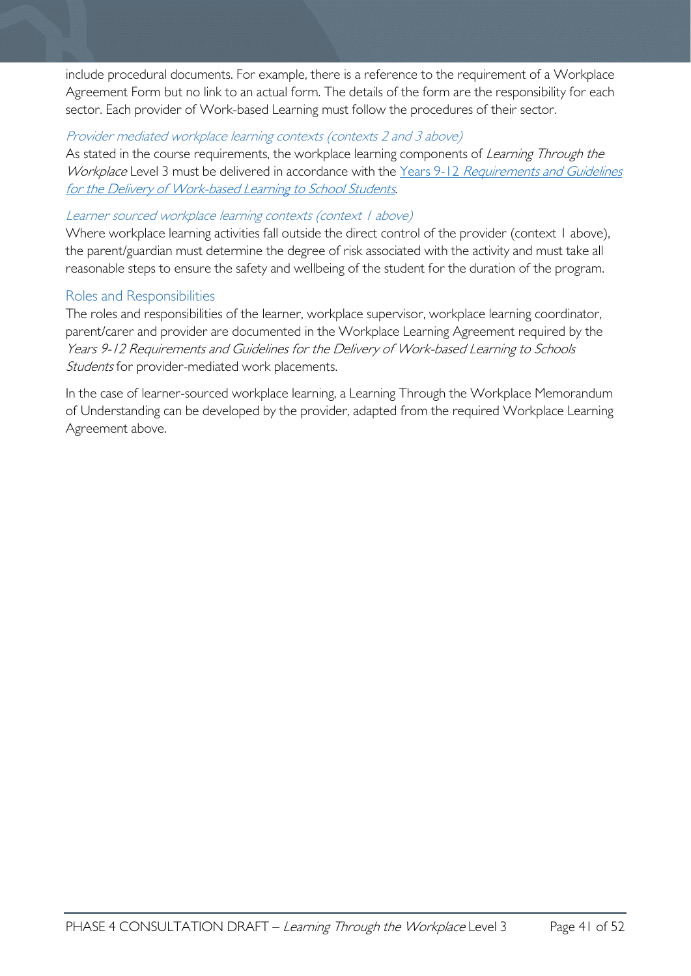include procedural documents. For example, there is a reference to the requirement of a Workplace Agreement Form but no link to an actual form. The details of the form are the responsibility for each sector. Each provider of Work-based Learning must follow the procedures of their sector.

#### Provider mediated workplace learning contexts (contexts 2 and 3 above)

As stated in the course requirements, the workplace learning components of *Learning Through the* Workplace Level 3 must be delivered in accordance with the Years 9-12 Requirements and Guidelines [for the Delivery of Work-based Learning to School Students](https://publicdocumentcentre.education.tas.gov.au/library/Years%209%20%2012%20Curriculum%20Documents/Requirements-and-Guidelines-for-Work-based-Learning.pdf).

#### Learner sourced workplace learning contexts (context 1 above)

Where workplace learning activities fall outside the direct control of the provider (context 1 above), the parent/guardian must determine the degree of risk associated with the activity and must take all reasonable steps to ensure the safety and wellbeing of the student for the duration of the program.

#### <span id="page-40-0"></span>Roles and Responsibilities

The roles and responsibilities of the learner, workplace supervisor, workplace learning coordinator, parent/carer and provider are documented in the Workplace Learning Agreement required by the Years 9-12 Requirements and Guidelines for the Delivery of Work-based Learning to Schools Students for provider-mediated work placements.

In the case of learner-sourced workplace learning, a Learning Through the Workplace Memorandum of Understanding can be developed by the provider, adapted from the required Workplace Learning Agreement above.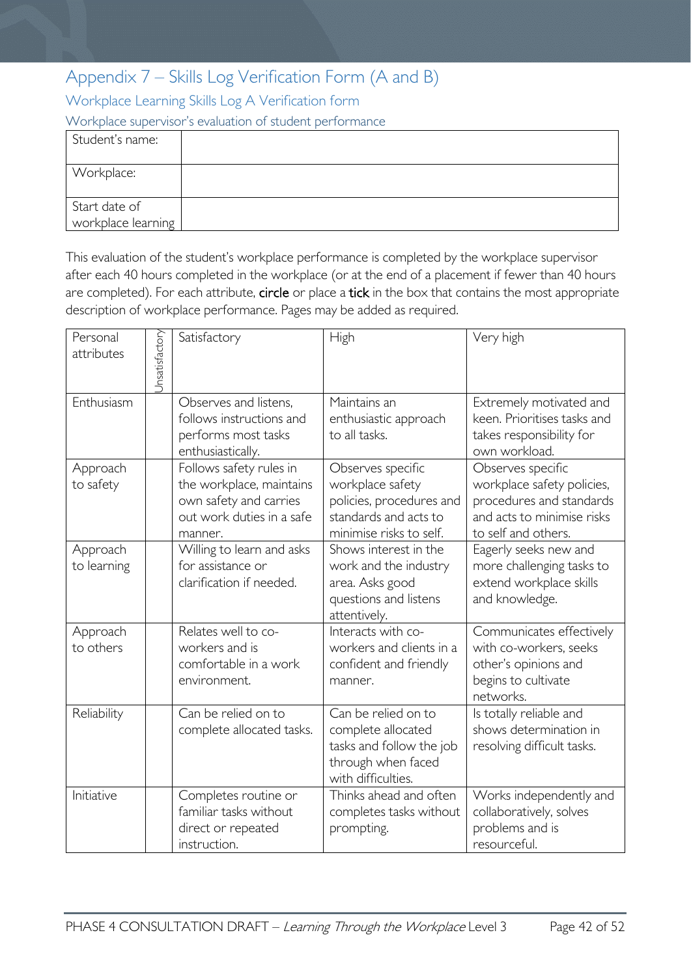# <span id="page-41-0"></span>Appendix 7 – Skills Log Verification Form (A and B)

<span id="page-41-1"></span>Workplace Learning Skills Log A Verification form

<span id="page-41-2"></span>Workplace supervisor's evaluation of student performance

| Student's name:                     |  |
|-------------------------------------|--|
| Workplace:                          |  |
| Start date of<br>workplace learning |  |

This evaluation of the student's workplace performance is completed by the workplace supervisor after each 40 hours completed in the workplace (or at the end of a placement if fewer than 40 hours are completed). For each attribute, circle or place a tick in the box that contains the most appropriate description of workplace performance. Pages may be added as required.

| Personal<br>attributes  | Jnsatisfactory | Satisfactory                                                                                                          | High                                                                                                                  | Very high                                                                                                                        |
|-------------------------|----------------|-----------------------------------------------------------------------------------------------------------------------|-----------------------------------------------------------------------------------------------------------------------|----------------------------------------------------------------------------------------------------------------------------------|
| Enthusiasm              |                | Observes and listens.<br>follows instructions and<br>performs most tasks<br>enthusiastically.                         | Maintains an<br>enthusiastic approach<br>to all tasks.                                                                | Extremely motivated and<br>keen. Prioritises tasks and<br>takes responsibility for<br>own workload.                              |
| Approach<br>to safety   |                | Follows safety rules in<br>the workplace, maintains<br>own safety and carries<br>out work duties in a safe<br>manner. | Observes specific<br>workplace safety<br>policies, procedures and<br>standards and acts to<br>minimise risks to self. | Observes specific<br>workplace safety policies,<br>procedures and standards<br>and acts to minimise risks<br>to self and others. |
| Approach<br>to learning |                | Willing to learn and asks<br>for assistance or<br>clarification if needed.                                            | Shows interest in the<br>work and the industry<br>area. Asks good<br>questions and listens<br>attentively.            | Eagerly seeks new and<br>more challenging tasks to<br>extend workplace skills<br>and knowledge.                                  |
| Approach<br>to others   |                | Relates well to co-<br>workers and is<br>comfortable in a work<br>environment.                                        | Interacts with co-<br>workers and clients in a<br>confident and friendly<br>manner.                                   | Communicates effectively<br>with co-workers, seeks<br>other's opinions and<br>begins to cultivate<br>networks.                   |
| Reliability             |                | Can be relied on to<br>complete allocated tasks.                                                                      | Can be relied on to<br>complete allocated<br>tasks and follow the job<br>through when faced<br>with difficulties.     | Is totally reliable and<br>shows determination in<br>resolving difficult tasks.                                                  |
| Initiative              |                | Completes routine or<br>familiar tasks without<br>direct or repeated<br>instruction.                                  | Thinks ahead and often<br>completes tasks without<br>prompting.                                                       | Works independently and<br>collaboratively, solves<br>problems and is<br>resourceful.                                            |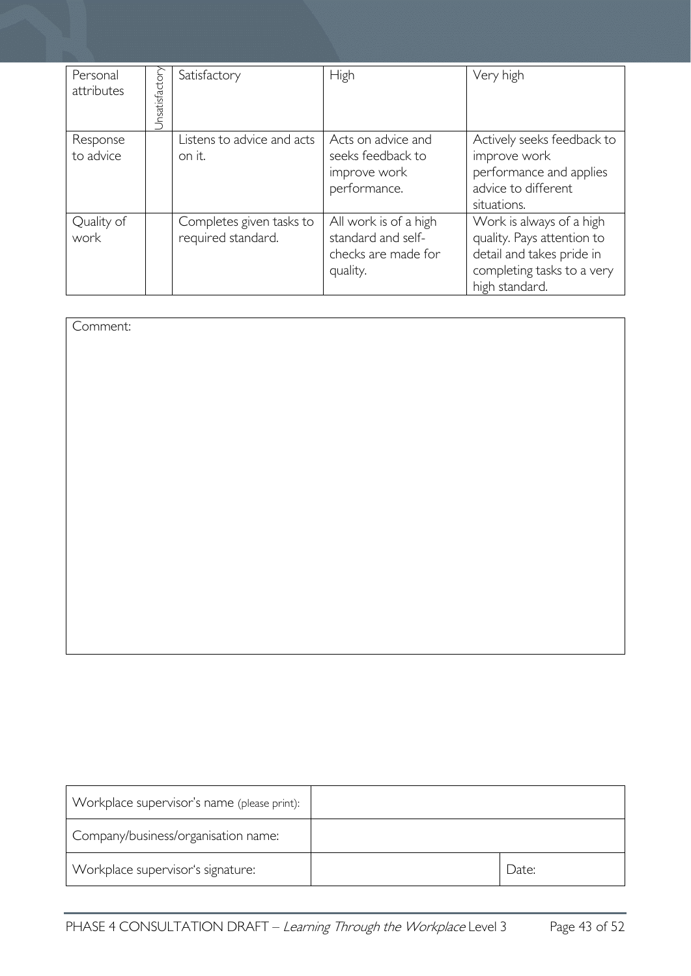| Personal<br>attributes | Jnsatisfactory | Satisfactory                                   | <b>High</b>                                                                    | Very high                                                                                                                           |
|------------------------|----------------|------------------------------------------------|--------------------------------------------------------------------------------|-------------------------------------------------------------------------------------------------------------------------------------|
| Response<br>to advice  |                | Listens to advice and acts<br>on it.           | Acts on advice and<br>seeks feedback to<br>improve work<br>performance.        | Actively seeks feedback to<br>improve work<br>performance and applies<br>advice to different<br>situations.                         |
| Quality of<br>work     |                | Completes given tasks to<br>required standard. | All work is of a high<br>standard and self-<br>checks are made for<br>quality. | Work is always of a high<br>quality. Pays attention to<br>detail and takes pride in<br>completing tasks to a very<br>high standard. |

Comment:

| Workplace supervisor's name (please print): |       |
|---------------------------------------------|-------|
| Company/business/organisation name:         |       |
| Workplace supervisor's signature:           | Date: |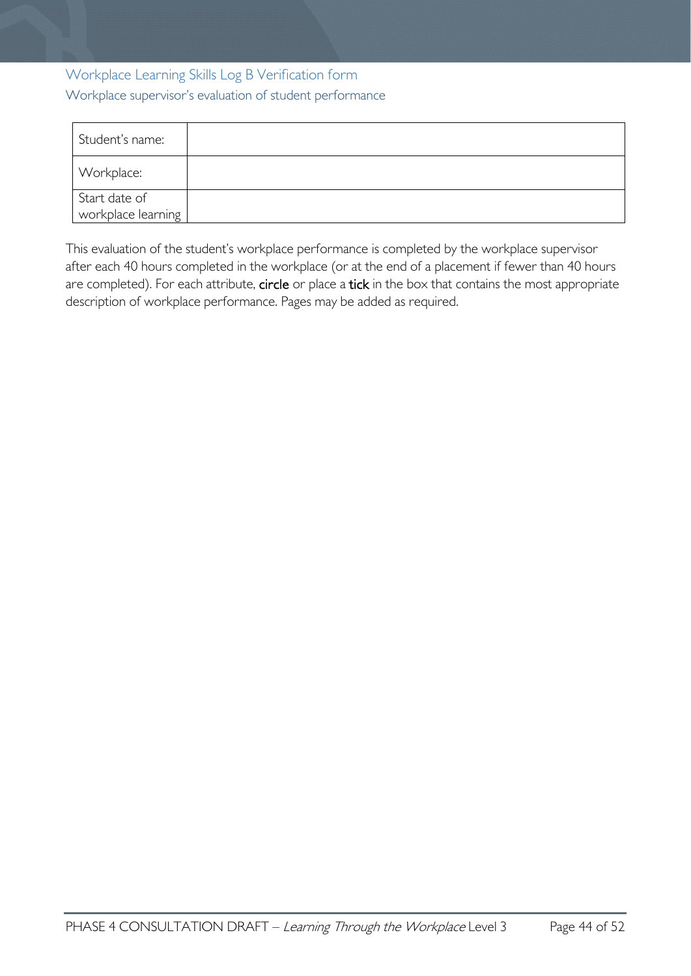# <span id="page-43-1"></span><span id="page-43-0"></span>Workplace Learning Skills Log B Verification form Workplace supervisor's evaluation of student performance

| Student's name:                     |  |
|-------------------------------------|--|
| Workplace:                          |  |
| Start date of<br>workplace learning |  |

This evaluation of the student's workplace performance is completed by the workplace supervisor after each 40 hours completed in the workplace (or at the end of a placement if fewer than 40 hours are completed). For each attribute, circle or place a tick in the box that contains the most appropriate description of workplace performance. Pages may be added as required.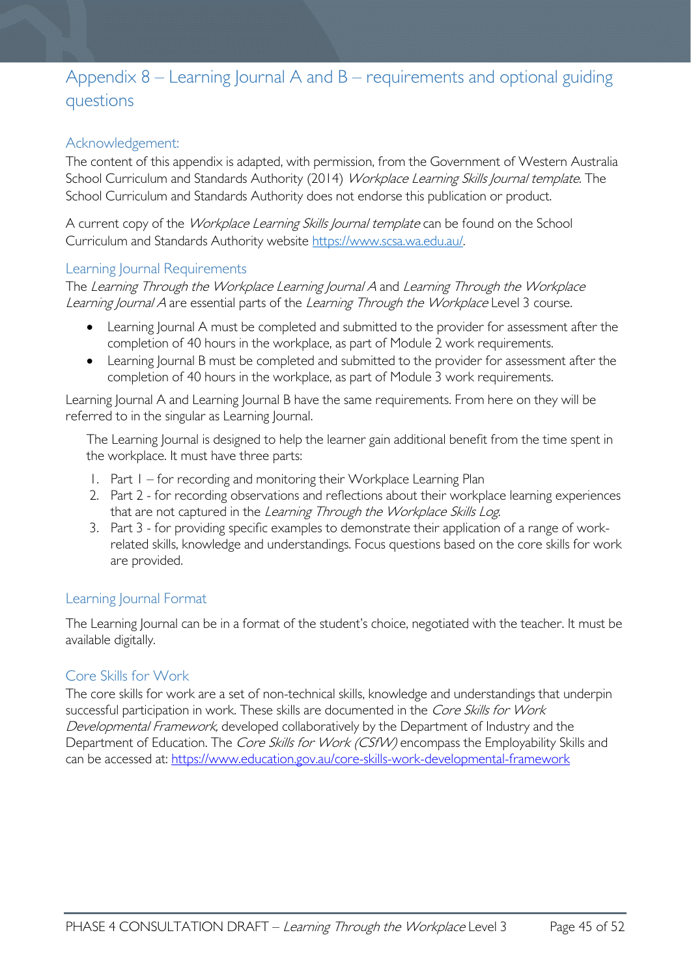# <span id="page-44-0"></span>Appendix 8 – Learning Journal A and B – requirements and optional guiding questions

#### <span id="page-44-1"></span>Acknowledgement:

The content of this appendix is adapted, with permission, from the Government of Western Australia School Curriculum and Standards Authority (2014) Workplace Learning Skills Journal template. The School Curriculum and Standards Authority does not endorse this publication or product.

A current copy of the Workplace Learning Skills Journal template can be found on the School Curriculum and Standards Authority website [https://www.scsa.wa.edu.au/.](https://www.scsa.wa.edu.au/)

#### <span id="page-44-2"></span>Learning Journal Requirements

The Learning Through the Workplace Learning Journal A and Learning Through the Workplace Learning Journal A are essential parts of the Learning Through the Workplace Level 3 course.

- Learning Journal A must be completed and submitted to the provider for assessment after the completion of 40 hours in the workplace, as part of Module 2 work requirements.
- Learning Journal B must be completed and submitted to the provider for assessment after the completion of 40 hours in the workplace, as part of Module 3 work requirements.

Learning Journal A and Learning Journal B have the same requirements. From here on they will be referred to in the singular as Learning Journal.

The Learning Journal is designed to help the learner gain additional benefit from the time spent in the workplace. It must have three parts:

- 1. Part 1 for recording and monitoring their Workplace Learning Plan
- 2. Part 2 for recording observations and reflections about their workplace learning experiences that are not captured in the Learning Through the Workplace Skills Log.
- 3. Part 3 for providing specific examples to demonstrate their application of a range of workrelated skills, knowledge and understandings. Focus questions based on the core skills for work are provided.

#### <span id="page-44-3"></span>Learning Journal Format

The Learning Journal can be in a format of the student's choice, negotiated with the teacher. It must be available digitally.

#### <span id="page-44-4"></span>Core Skills for Work

The core skills for work are a set of non-technical skills, knowledge and understandings that underpin successful participation in work. These skills are documented in the Core Skills for Work Developmental Framework, developed collaboratively by the Department of Industry and the Department of Education. The Core Skills for Work (CSfW) encompass the Employability Skills and can be accessed at:<https://www.education.gov.au/core-skills-work-developmental-framework>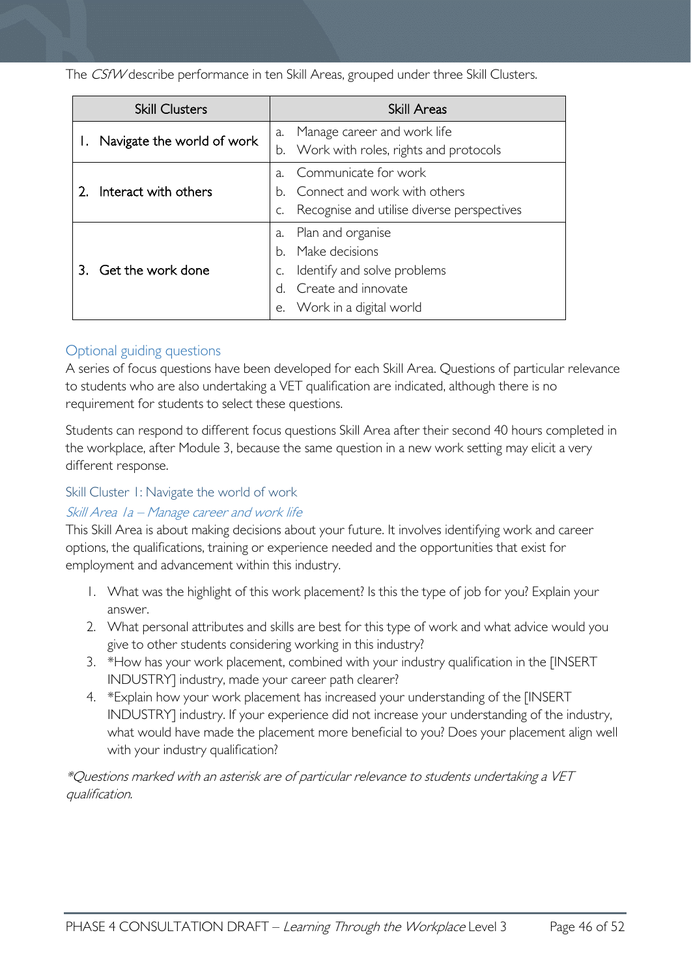The CSfW describe performance in ten Skill Areas, grouped under three Skill Clusters.

| <b>Skill Clusters</b> |                            |             | <b>Skill Areas</b>                         |
|-----------------------|----------------------------|-------------|--------------------------------------------|
|                       |                            | a.          | Manage career and work life                |
|                       | Navigate the world of work |             | b. Work with roles, rights and protocols   |
|                       |                            | $\lambda$ . | Communicate for work                       |
|                       | Interact with others       | h.          | Connect and work with others               |
|                       |                            | C.          | Recognise and utilise diverse perspectives |
|                       |                            | a.          | Plan and organise                          |
|                       | Get the work done          | h.          | Make decisions                             |
|                       |                            | C.          | Identify and solve problems                |
|                       |                            |             | Create and innovate                        |
|                       |                            |             | e. Work in a digital world                 |

### <span id="page-45-0"></span>Optional guiding questions

A series of focus questions have been developed for each Skill Area. Questions of particular relevance to students who are also undertaking a VET qualification are indicated, although there is no requirement for students to select these questions.

Students can respond to different focus questions Skill Area after their second 40 hours completed in the workplace, after Module 3, because the same question in a new work setting may elicit a very different response.

#### <span id="page-45-1"></span>Skill Cluster 1: Navigate the world of work

#### Skill Area 1a – Manage career and work life

This Skill Area is about making decisions about your future. It involves identifying work and career options, the qualifications, training or experience needed and the opportunities that exist for employment and advancement within this industry.

- 1. What was the highlight of this work placement? Is this the type of job for you? Explain your answer.
- 2. What personal attributes and skills are best for this type of work and what advice would you give to other students considering working in this industry?
- 3. \*How has your work placement, combined with your industry qualification in the [INSERT INDUSTRY] industry, made your career path clearer?
- 4. \*Explain how your work placement has increased your understanding of the [INSERT INDUSTRY] industry. If your experience did not increase your understanding of the industry, what would have made the placement more beneficial to you? Does your placement align well with your industry qualification?

\*Questions marked with an asterisk are of particular relevance to students undertaking a VET qualification.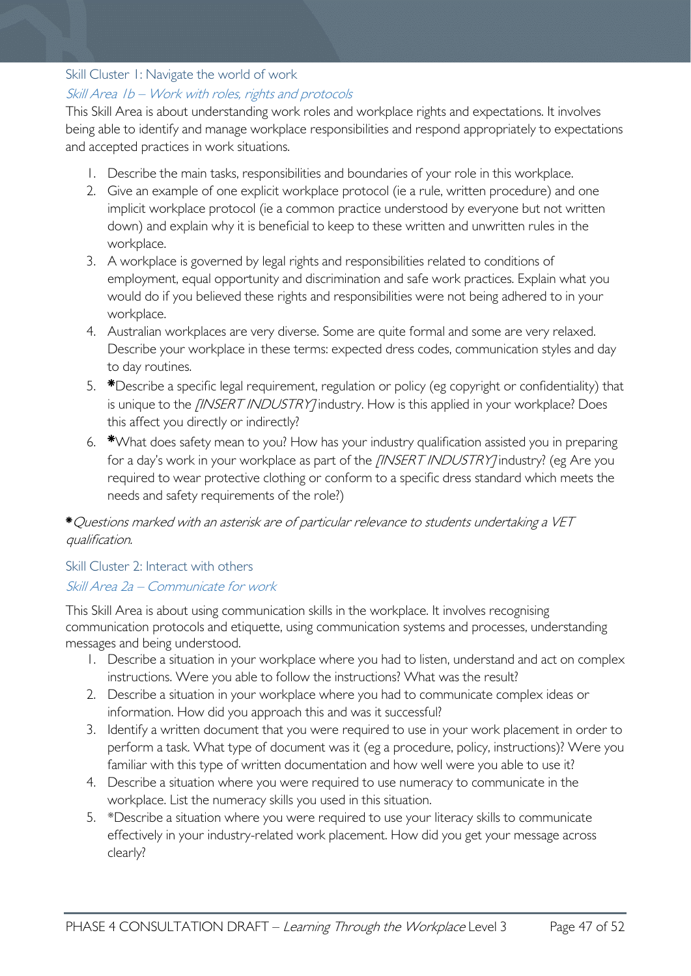### <span id="page-46-0"></span>Skill Cluster 1: Navigate the world of work

#### Skill Area 1b – Work with roles, rights and protocols

This Skill Area is about understanding work roles and workplace rights and expectations. It involves being able to identify and manage workplace responsibilities and respond appropriately to expectations and accepted practices in work situations.

- 1. Describe the main tasks, responsibilities and boundaries of your role in this workplace.
- 2. Give an example of one explicit workplace protocol (ie a rule, written procedure) and one implicit workplace protocol (ie a common practice understood by everyone but not written down) and explain why it is beneficial to keep to these written and unwritten rules in the workplace.
- 3. A workplace is governed by legal rights and responsibilities related to conditions of employment, equal opportunity and discrimination and safe work practices. Explain what you would do if you believed these rights and responsibilities were not being adhered to in your workplace.
- 4. Australian workplaces are very diverse. Some are quite formal and some are very relaxed. Describe your workplace in these terms: expected dress codes, communication styles and day to day routines.
- 5. \*Describe a specific legal requirement, regulation or policy (eg copyright or confidentiality) that is unique to the *[INSERT INDUSTRY]* industry. How is this applied in your workplace? Does this affect you directly or indirectly?
- 6. \*What does safety mean to you? How has your industry qualification assisted you in preparing for a day's work in your workplace as part of the *[INSERT INDUSTRY]* industry? (eg Are you required to wear protective clothing or conform to a specific dress standard which meets the needs and safety requirements of the role?)

#### \*Questions marked with an asterisk are of particular relevance to students undertaking a VET qualification.

#### <span id="page-46-1"></span>Skill Cluster 2: Interact with others Skill Area 2a – Communicate for work

This Skill Area is about using communication skills in the workplace. It involves recognising communication protocols and etiquette, using communication systems and processes, understanding messages and being understood.

- 1. Describe a situation in your workplace where you had to listen, understand and act on complex instructions. Were you able to follow the instructions? What was the result?
- 2. Describe a situation in your workplace where you had to communicate complex ideas or information. How did you approach this and was it successful?
- 3. Identify a written document that you were required to use in your work placement in order to perform a task. What type of document was it (eg a procedure, policy, instructions)? Were you familiar with this type of written documentation and how well were you able to use it?
- 4. Describe a situation where you were required to use numeracy to communicate in the workplace. List the numeracy skills you used in this situation.
- 5. \*Describe a situation where you were required to use your literacy skills to communicate effectively in your industry-related work placement. How did you get your message across clearly?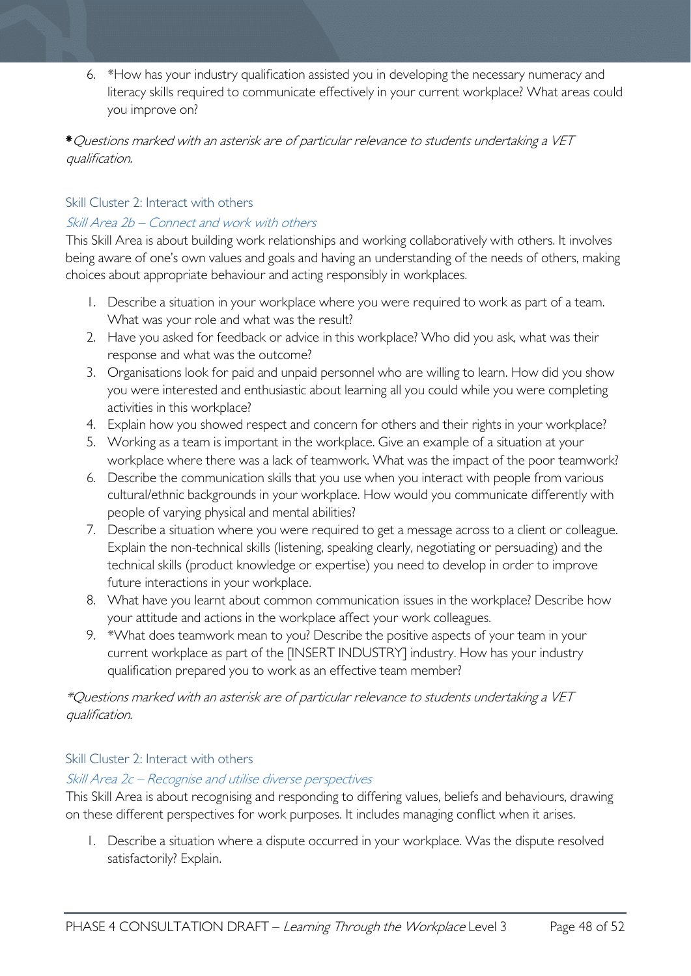6. \*How has your industry qualification assisted you in developing the necessary numeracy and literacy skills required to communicate effectively in your current workplace? What areas could you improve on?

#### \*Questions marked with an asterisk are of particular relevance to students undertaking a VET qualification.

#### <span id="page-47-0"></span>Skill Cluster 2: Interact with others

#### Skill Area 2b – Connect and work with others

This Skill Area is about building work relationships and working collaboratively with others. It involves being aware of one's own values and goals and having an understanding of the needs of others, making choices about appropriate behaviour and acting responsibly in workplaces.

- 1. Describe a situation in your workplace where you were required to work as part of a team. What was your role and what was the result?
- 2. Have you asked for feedback or advice in this workplace? Who did you ask, what was their response and what was the outcome?
- 3. Organisations look for paid and unpaid personnel who are willing to learn. How did you show you were interested and enthusiastic about learning all you could while you were completing activities in this workplace?
- 4. Explain how you showed respect and concern for others and their rights in your workplace?
- 5. Working as a team is important in the workplace. Give an example of a situation at your workplace where there was a lack of teamwork. What was the impact of the poor teamwork?
- 6. Describe the communication skills that you use when you interact with people from various cultural/ethnic backgrounds in your workplace. How would you communicate differently with people of varying physical and mental abilities?
- 7. Describe a situation where you were required to get a message across to a client or colleague. Explain the non-technical skills (listening, speaking clearly, negotiating or persuading) and the technical skills (product knowledge or expertise) you need to develop in order to improve future interactions in your workplace.
- 8. What have you learnt about common communication issues in the workplace? Describe how your attitude and actions in the workplace affect your work colleagues.
- 9. \*What does teamwork mean to you? Describe the positive aspects of your team in your current workplace as part of the [INSERT INDUSTRY] industry. How has your industry qualification prepared you to work as an effective team member?

\*Questions marked with an asterisk are of particular relevance to students undertaking a VET qualification.

#### <span id="page-47-1"></span>Skill Cluster 2: Interact with others

#### Skill Area 2c – Recognise and utilise diverse perspectives

This Skill Area is about recognising and responding to differing values, beliefs and behaviours, drawing on these different perspectives for work purposes. It includes managing conflict when it arises.

1. Describe a situation where a dispute occurred in your workplace. Was the dispute resolved satisfactorily? Explain.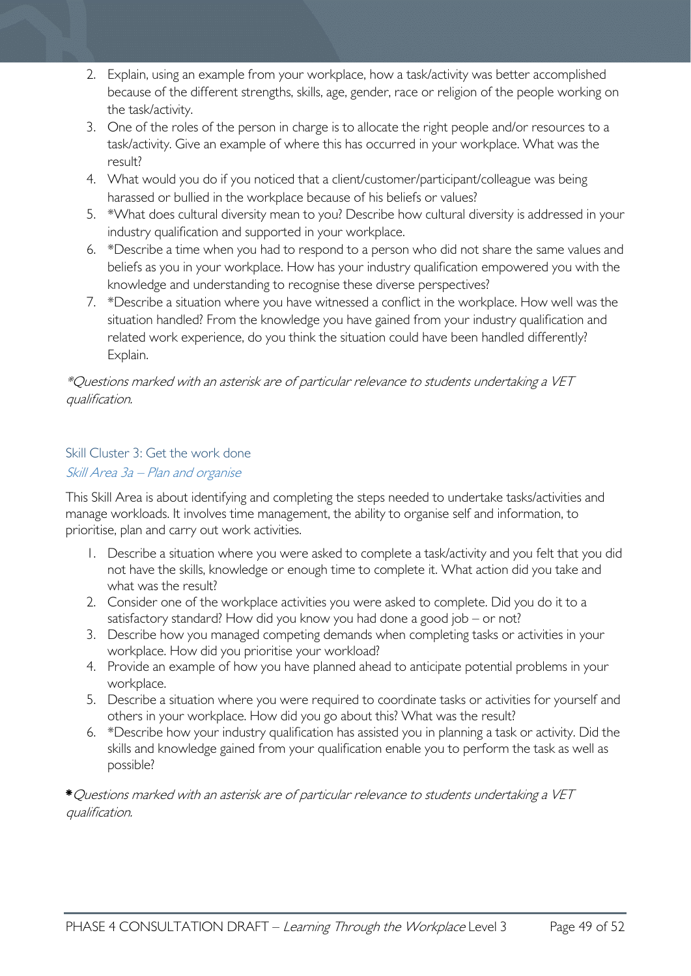- 2. Explain, using an example from your workplace, how a task/activity was better accomplished because of the different strengths, skills, age, gender, race or religion of the people working on the task/activity.
- 3. One of the roles of the person in charge is to allocate the right people and/or resources to a task/activity. Give an example of where this has occurred in your workplace. What was the result?
- 4. What would you do if you noticed that a client/customer/participant/colleague was being harassed or bullied in the workplace because of his beliefs or values?
- 5. \*What does cultural diversity mean to you? Describe how cultural diversity is addressed in your industry qualification and supported in your workplace.
- 6. \*Describe a time when you had to respond to a person who did not share the same values and beliefs as you in your workplace. How has your industry qualification empowered you with the knowledge and understanding to recognise these diverse perspectives?
- 7. \*Describe a situation where you have witnessed a conflict in the workplace. How well was the situation handled? From the knowledge you have gained from your industry qualification and related work experience, do you think the situation could have been handled differently? Explain.

### \*Questions marked with an asterisk are of particular relevance to students undertaking a VET qualification.

### <span id="page-48-0"></span>Skill Cluster 3: Get the work done Skill Area 3a – Plan and organise

This Skill Area is about identifying and completing the steps needed to undertake tasks/activities and manage workloads. It involves time management, the ability to organise self and information, to prioritise, plan and carry out work activities.

- 1. Describe a situation where you were asked to complete a task/activity and you felt that you did not have the skills, knowledge or enough time to complete it. What action did you take and what was the result?
- 2. Consider one of the workplace activities you were asked to complete. Did you do it to a satisfactory standard? How did you know you had done a good job – or not?
- 3. Describe how you managed competing demands when completing tasks or activities in your workplace. How did you prioritise your workload?
- 4. Provide an example of how you have planned ahead to anticipate potential problems in your workplace.
- 5. Describe a situation where you were required to coordinate tasks or activities for yourself and others in your workplace. How did you go about this? What was the result?
- 6. \*Describe how your industry qualification has assisted you in planning a task or activity. Did the skills and knowledge gained from your qualification enable you to perform the task as well as possible?

\*Questions marked with an asterisk are of particular relevance to students undertaking a VET qualification.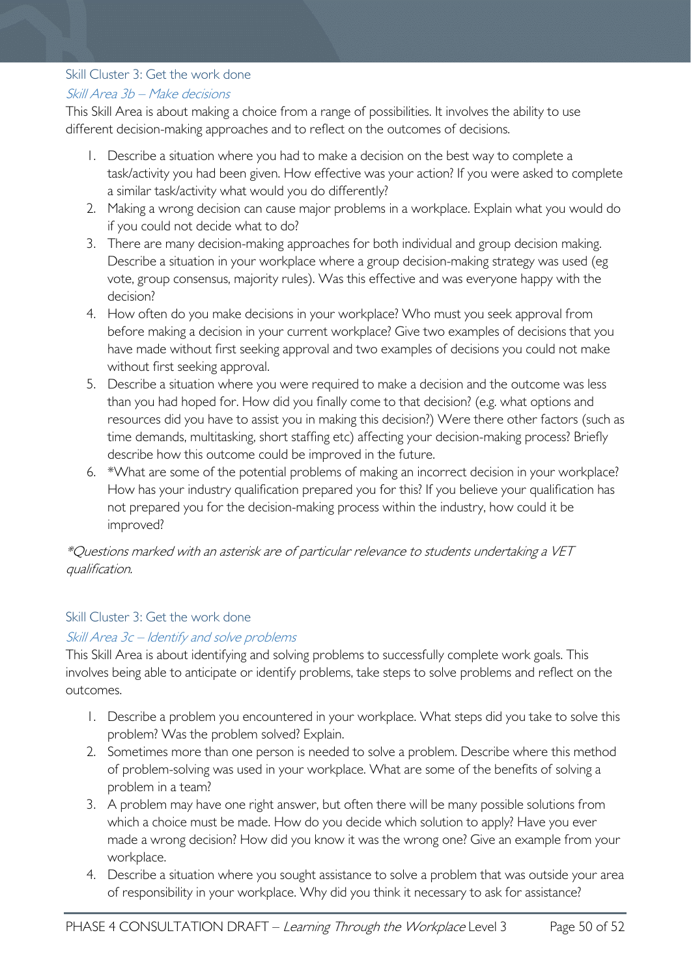#### <span id="page-49-0"></span>Skill Cluster 3: Get the work done

### Skill Area 3b – Make decisions

This Skill Area is about making a choice from a range of possibilities. It involves the ability to use different decision-making approaches and to reflect on the outcomes of decisions.

- 1. Describe a situation where you had to make a decision on the best way to complete a task/activity you had been given. How effective was your action? If you were asked to complete a similar task/activity what would you do differently?
- 2. Making a wrong decision can cause major problems in a workplace. Explain what you would do if you could not decide what to do?
- 3. There are many decision-making approaches for both individual and group decision making. Describe a situation in your workplace where a group decision-making strategy was used (eg vote, group consensus, majority rules). Was this effective and was everyone happy with the decision?
- 4. How often do you make decisions in your workplace? Who must you seek approval from before making a decision in your current workplace? Give two examples of decisions that you have made without first seeking approval and two examples of decisions you could not make without first seeking approval.
- 5. Describe a situation where you were required to make a decision and the outcome was less than you had hoped for. How did you finally come to that decision? (e.g. what options and resources did you have to assist you in making this decision?) Were there other factors (such as time demands, multitasking, short staffing etc) affecting your decision-making process? Briefly describe how this outcome could be improved in the future.
- 6. \*What are some of the potential problems of making an incorrect decision in your workplace? How has your industry qualification prepared you for this? If you believe your qualification has not prepared you for the decision-making process within the industry, how could it be improved?

### \*Questions marked with an asterisk are of particular relevance to students undertaking a VET qualification.

### <span id="page-49-1"></span>Skill Cluster 3: Get the work done

#### Skill Area 3c – Identify and solve problems

This Skill Area is about identifying and solving problems to successfully complete work goals. This involves being able to anticipate or identify problems, take steps to solve problems and reflect on the outcomes.

- 1. Describe a problem you encountered in your workplace. What steps did you take to solve this problem? Was the problem solved? Explain.
- 2. Sometimes more than one person is needed to solve a problem. Describe where this method of problem-solving was used in your workplace. What are some of the benefits of solving a problem in a team?
- 3. A problem may have one right answer, but often there will be many possible solutions from which a choice must be made. How do you decide which solution to apply? Have you ever made a wrong decision? How did you know it was the wrong one? Give an example from your workplace.
- 4. Describe a situation where you sought assistance to solve a problem that was outside your area of responsibility in your workplace. Why did you think it necessary to ask for assistance?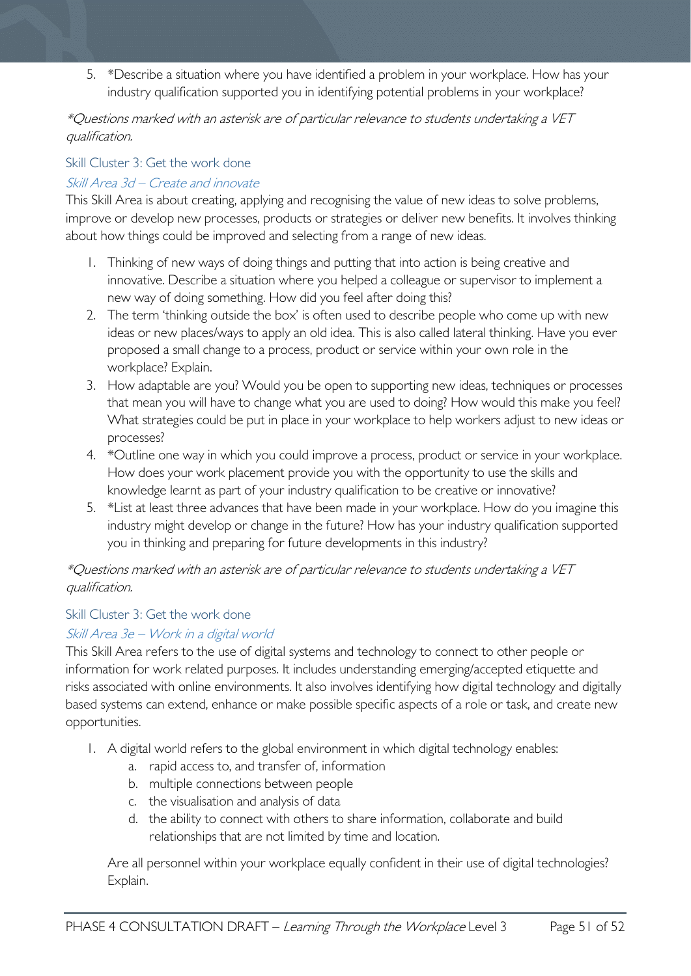5. \*Describe a situation where you have identified a problem in your workplace. How has your industry qualification supported you in identifying potential problems in your workplace?

#### \*Questions marked with an asterisk are of particular relevance to students undertaking a VET qualification.

### <span id="page-50-0"></span>Skill Cluster 3: Get the work done

### Skill Area 3d – Create and innovate

This Skill Area is about creating, applying and recognising the value of new ideas to solve problems, improve or develop new processes, products or strategies or deliver new benefits. It involves thinking about how things could be improved and selecting from a range of new ideas.

- 1. Thinking of new ways of doing things and putting that into action is being creative and innovative. Describe a situation where you helped a colleague or supervisor to implement a new way of doing something. How did you feel after doing this?
- 2. The term 'thinking outside the box' is often used to describe people who come up with new ideas or new places/ways to apply an old idea. This is also called lateral thinking. Have you ever proposed a small change to a process, product or service within your own role in the workplace? Explain.
- 3. How adaptable are you? Would you be open to supporting new ideas, techniques or processes that mean you will have to change what you are used to doing? How would this make you feel? What strategies could be put in place in your workplace to help workers adjust to new ideas or processes?
- 4. \*Outline one way in which you could improve a process, product or service in your workplace. How does your work placement provide you with the opportunity to use the skills and knowledge learnt as part of your industry qualification to be creative or innovative?
- 5. \*List at least three advances that have been made in your workplace. How do you imagine this industry might develop or change in the future? How has your industry qualification supported you in thinking and preparing for future developments in this industry?

### \*Questions marked with an asterisk are of particular relevance to students undertaking a VET qualification.

#### <span id="page-50-1"></span>Skill Cluster 3: Get the work done

### Skill Area 3e – Work in a digital world

This Skill Area refers to the use of digital systems and technology to connect to other people or information for work related purposes. It includes understanding emerging/accepted etiquette and risks associated with online environments. It also involves identifying how digital technology and digitally based systems can extend, enhance or make possible specific aspects of a role or task, and create new opportunities.

- 1. A digital world refers to the global environment in which digital technology enables:
	- a. rapid access to, and transfer of, information
	- b. multiple connections between people
	- c. the visualisation and analysis of data
	- d. the ability to connect with others to share information, collaborate and build relationships that are not limited by time and location.

Are all personnel within your workplace equally confident in their use of digital technologies? Explain.